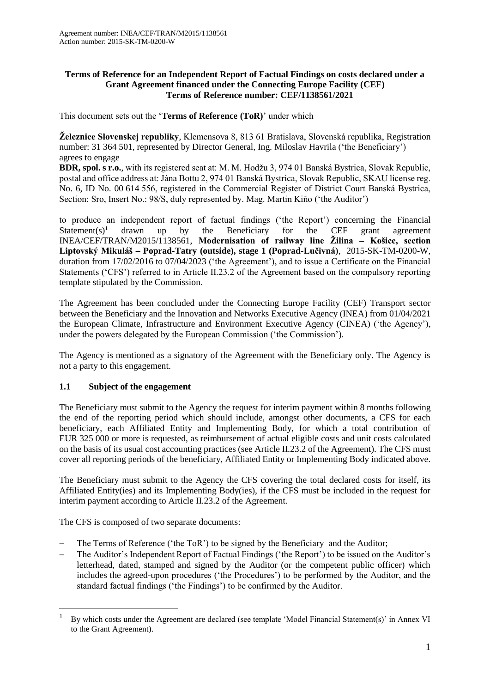## **Terms of Reference for an Independent Report of Factual Findings on costs declared under a Grant Agreement financed under the Connecting Europe Facility (CEF) Terms of Reference number: CEF/1138561/2021**

This document sets out the '**Terms of Reference (ToR)**' under which

**Železnice Slovenskej republiky**, Klemensova 8, 813 61 Bratislava, Slovenská republika, Registration number: 31 364 501, represented by Director General, Ing. Miloslav Havrila ('the Beneficiary') agrees to engage

**BDR, spol. s r.o.**, with its registered seat at: M. M. Hodžu 3, 974 01 Banská Bystrica, Slovak Republic, postal and office address at: Jána Bottu 2, 974 01 Banská Bystrica, Slovak Republic, SKAU license reg. No. 6, ID No. 00 614 556, registered in the Commercial Register of District Court Banská Bystrica, Section: Sro, Insert No.: 98/S, duly represented by. Mag. Martin Kiňo ('the Auditor')

to produce an independent report of factual findings ('the Report') concerning the Financial Statement(s)<sup>1</sup> drawn up by the Beneficiary for the CEF grant agreement INEA/CEF/TRAN/M2015/1138561, **Modernisation of railway line Žilina – Košice, section Liptovský Mikuláš – Poprad-Tatry (outside), stage 1 (Poprad-Lučivná)**, 2015-SK-TM-0200-W, duration from 17/02/2016 to 07/04/2023 ('the Agreement'), and to issue a Certificate on the Financial Statements ('CFS') referred to in Article II.23.2 of the Agreement based on the compulsory reporting template stipulated by the Commission.

The Agreement has been concluded under the Connecting Europe Facility (CEF) Transport sector between the Beneficiary and the Innovation and Networks Executive Agency (INEA) from 01/04/2021 the European Climate, Infrastructure and Environment Executive Agency (CINEA) ('the Agency'), under the powers delegated by the European Commission ('the Commission').

The Agency is mentioned as a signatory of the Agreement with the Beneficiary only. The Agency is not a party to this engagement.

## **1.1 Subject of the engagement**

The Beneficiary must submit to the Agency the request for interim payment within 8 months following the end of the reporting period which should include, amongst other documents, a CFS for each beneficiary, each Affiliated Entity and Implementing Body<sub>r</sub> for which a total contribution of EUR 325 000 or more is requested, as reimbursement of actual eligible costs and unit costs calculated on the basis of its usual cost accounting practices (see Article II.23.2 of the Agreement). The CFS must cover all reporting periods of the beneficiary, Affiliated Entity or Implementing Body indicated above.

The Beneficiary must submit to the Agency the CFS covering the total declared costs for itself, its Affiliated Entity(ies) and its Implementing Body(ies), if the CFS must be included in the request for interim payment according to Article II.23.2 of the Agreement.

The CFS is composed of two separate documents:

<u>.</u>

- The Terms of Reference ('the ToR') to be signed by the Beneficiary and the Auditor;
- The Auditor's Independent Report of Factual Findings ('the Report') to be issued on the Auditor's letterhead, dated, stamped and signed by the Auditor (or the competent public officer) which includes the agreed-upon procedures ('the Procedures') to be performed by the Auditor, and the standard factual findings ('the Findings') to be confirmed by the Auditor.

<sup>1</sup> By which costs under the Agreement are declared (see template 'Model Financial Statement(s)' in Annex VI to the Grant Agreement).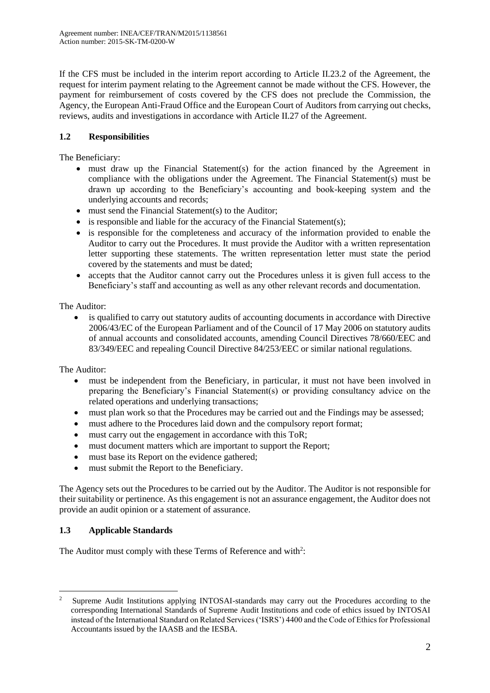If the CFS must be included in the interim report according to Article II.23.2 of the Agreement, the request for interim payment relating to the Agreement cannot be made without the CFS. However, the payment for reimbursement of costs covered by the CFS does not preclude the Commission, the Agency*,* the European Anti-Fraud Office and the European Court of Auditors from carrying out checks, reviews, audits and investigations in accordance with Article II.27 of the Agreement.

# **1.2 Responsibilities**

The Beneficiary:

- must draw up the Financial Statement(s) for the action financed by the Agreement in compliance with the obligations under the Agreement. The Financial Statement(s) must be drawn up according to the Beneficiary's accounting and book-keeping system and the underlying accounts and records;
- must send the Financial Statement(s) to the Auditor;
- $\bullet$  is responsible and liable for the accuracy of the Financial Statement(s);
- is responsible for the completeness and accuracy of the information provided to enable the Auditor to carry out the Procedures. It must provide the Auditor with a written representation letter supporting these statements. The written representation letter must state the period covered by the statements and must be dated;
- accepts that the Auditor cannot carry out the Procedures unless it is given full access to the Beneficiary's staff and accounting as well as any other relevant records and documentation.

The Auditor:

 is qualified to carry out statutory audits of accounting documents in accordance with Directive 2006/43/EC of the European Parliament and of the Council of 17 May 2006 on statutory audits of annual accounts and consolidated accounts, amending Council Directives 78/660/EEC and 83/349/EEC and repealing Council Directive 84/253/EEC or similar national regulations.

The Auditor:

- must be independent from the Beneficiary, in particular, it must not have been involved in preparing the Beneficiary's Financial Statement(s) or providing consultancy advice on the related operations and underlying transactions;
- must plan work so that the Procedures may be carried out and the Findings may be assessed;
- must adhere to the Procedures laid down and the compulsory report format;
- must carry out the engagement in accordance with this ToR;
- must document matters which are important to support the Report;
- must base its Report on the evidence gathered;
- must submit the Report to the Beneficiary.

The Agency sets out the Procedures to be carried out by the Auditor. The Auditor is not responsible for their suitability or pertinence. As this engagement is not an assurance engagement, the Auditor does not provide an audit opinion or a statement of assurance.

### **1.3 Applicable Standards**

The Auditor must comply with these Terms of Reference and with<sup>2</sup>:

<sup>&</sup>lt;u>.</u> <sup>2</sup> Supreme Audit Institutions applying INTOSAI-standards may carry out the Procedures according to the corresponding International Standards of Supreme Audit Institutions and code of ethics issued by INTOSAI instead of the International Standard on Related Services ('ISRS') 4400 and the Code of Ethics for Professional Accountants issued by the IAASB and the IESBA.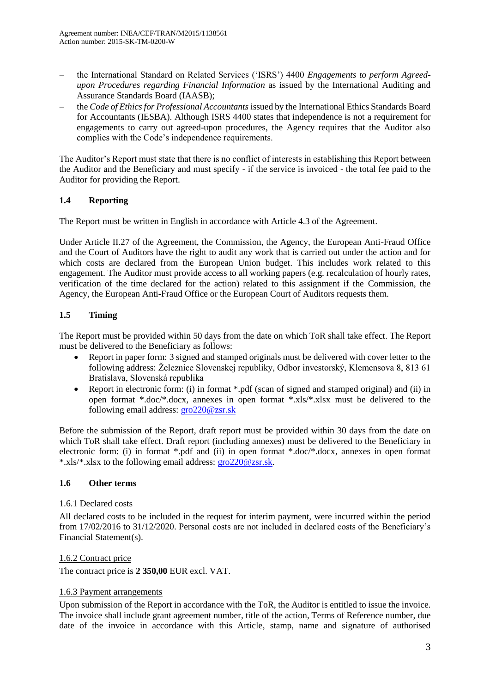- the International Standard on Related Services ('ISRS') 4400 *Engagements to perform Agreedupon Procedures regarding Financial Information* as issued by the International Auditing and Assurance Standards Board (IAASB);
- the *Code of Ethics for Professional Accountants* issued by the International Ethics Standards Board for Accountants (IESBA). Although ISRS 4400 states that independence is not a requirement for engagements to carry out agreed-upon procedures, the Agency requires that the Auditor also complies with the Code's independence requirements.

The Auditor's Report must state that there is no conflict of interests in establishing this Report between the Auditor and the Beneficiary and must specify - if the service is invoiced - the total fee paid to the Auditor for providing the Report.

# **1.4 Reporting**

The Report must be written in English in accordance with Article 4.3 of the Agreement.

Under Article II.27 of the Agreement, the Commission, the Agency, the European Anti-Fraud Office and the Court of Auditors have the right to audit any work that is carried out under the action and for which costs are declared from the European Union budget. This includes work related to this engagement. The Auditor must provide access to all working papers (e.g. recalculation of hourly rates, verification of the time declared for the action) related to this assignment if the Commission, the Agency, the European Anti-Fraud Office or the European Court of Auditors requests them.

# **1.5 Timing**

The Report must be provided within 50 days from the date on which ToR shall take effect. The Report must be delivered to the Beneficiary as follows:

- Report in paper form: 3 signed and stamped originals must be delivered with cover letter to the following address: Železnice Slovenskej republiky, Odbor investorský, Klemensova 8, 813 61 Bratislava, Slovenská republika
- Report in electronic form: (i) in format \*.pdf (scan of signed and stamped original) and (ii) in open format \*.doc/\*.docx, annexes in open format \*.xls/\*.xlsx must be delivered to the following email address: [gro220@zsr.sk](mailto:gro220@zsr.sk)

Before the submission of the Report, draft report must be provided within 30 days from the date on which ToR shall take effect. Draft report (including annexes) must be delivered to the Beneficiary in electronic form: (i) in format \*.pdf and (ii) in open format \*.doc/\*.docx, annexes in open format \*.xls/\*.xlsx to the following email address: [gro220@zsr.sk.](mailto:gro220@zsr.sk)

# **1.6 Other terms**

## 1.6.1 Declared costs

All declared costs to be included in the request for interim payment, were incurred within the period from 17/02/2016 to 31/12/2020. Personal costs are not included in declared costs of the Beneficiary's Financial Statement(s).

## 1.6.2 Contract price

The contract price is **2 350,00** EUR excl. VAT.

### 1.6.3 Payment arrangements

Upon submission of the Report in accordance with the ToR, the Auditor is entitled to issue the invoice. The invoice shall include grant agreement number, title of the action, Terms of Reference number, due date of the invoice in accordance with this Article, stamp, name and signature of authorised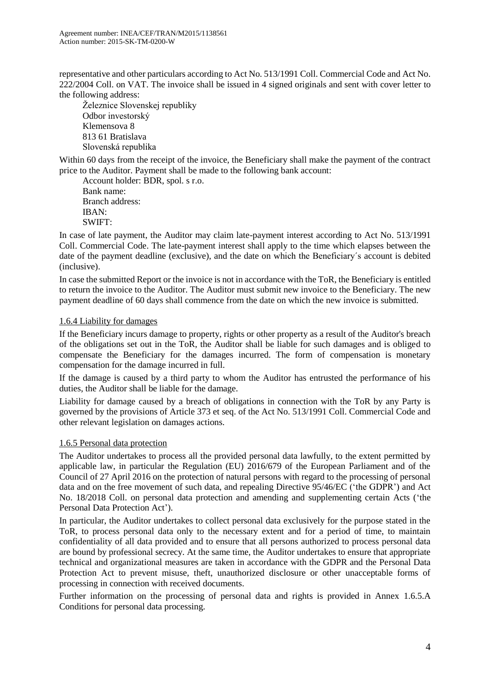representative and other particulars according to Act No. 513/1991 Coll. Commercial Code and Act No. 222/2004 Coll. on VAT. The invoice shall be issued in 4 signed originals and sent with cover letter to the following address:

Železnice Slovenskej republiky Odbor investorský Klemensova 8 813 61 Bratislava Slovenská republika

Within 60 days from the receipt of the invoice, the Beneficiary shall make the payment of the contract price to the Auditor. Payment shall be made to the following bank account:

Account holder: BDR, spol. s r.o. Bank name: Branch address: IBAN: SWIFT:

In case of late payment, the Auditor may claim late-payment interest according to Act No. 513/1991 Coll. Commercial Code. The late-payment interest shall apply to the time which elapses between the date of the payment deadline (exclusive), and the date on which the Beneficiary´s account is debited (inclusive).

In case the submitted Report or the invoice is not in accordance with the ToR, the Beneficiary is entitled to return the invoice to the Auditor. The Auditor must submit new invoice to the Beneficiary. The new payment deadline of 60 days shall commence from the date on which the new invoice is submitted.

## 1.6.4 Liability for damages

If the Beneficiary incurs damage to property, rights or other property as a result of the Auditor's breach of the obligations set out in the ToR, the Auditor shall be liable for such damages and is obliged to compensate the Beneficiary for the damages incurred. The form of compensation is monetary compensation for the damage incurred in full.

If the damage is caused by a third party to whom the Auditor has entrusted the performance of his duties, the Auditor shall be liable for the damage.

Liability for damage caused by a breach of obligations in connection with the ToR by any Party is governed by the provisions of Article 373 et seq. of the Act No. 513/1991 Coll. Commercial Code and other relevant legislation on damages actions.

## 1.6.5 Personal data protection

The Auditor undertakes to process all the provided personal data lawfully, to the extent permitted by applicable law, in particular the Regulation (EU) 2016/679 of the European Parliament and of the Council of 27 April 2016 on the protection of natural persons with regard to the processing of personal data and on the free movement of such data, and repealing Directive 95/46/EC ('the GDPR') and Act No. 18/2018 Coll. on personal data protection and amending and supplementing certain Acts ('the Personal Data Protection Act').

In particular, the Auditor undertakes to collect personal data exclusively for the purpose stated in the ToR, to process personal data only to the necessary extent and for a period of time, to maintain confidentiality of all data provided and to ensure that all persons authorized to process personal data are bound by professional secrecy. At the same time, the Auditor undertakes to ensure that appropriate technical and organizational measures are taken in accordance with the GDPR and the Personal Data Protection Act to prevent misuse, theft, unauthorized disclosure or other unacceptable forms of processing in connection with received documents.

Further information on the processing of personal data and rights is provided in Annex 1.6.5.A Conditions for personal data processing.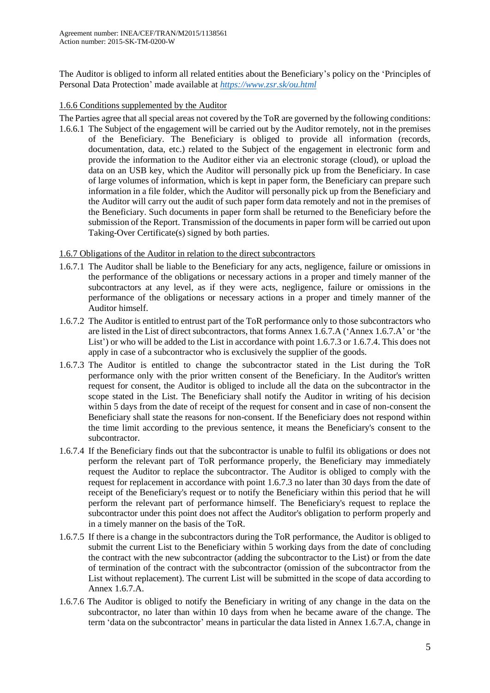The Auditor is obliged to inform all related entities about the Beneficiary's policy on the 'Principles of Personal Data Protection' made available at *<https://www.zsr.sk/ou.html>*

## 1.6.6 Conditions supplemented by the Auditor

The Parties agree that all special areas not covered by the ToR are governed by the following conditions: 1.6.6.1 The Subject of the engagement will be carried out by the Auditor remotely, not in the premises

of the Beneficiary. The Beneficiary is obliged to provide all information (records, documentation, data, etc.) related to the Subject of the engagement in electronic form and provide the information to the Auditor either via an electronic storage (cloud), or upload the data on an USB key, which the Auditor will personally pick up from the Beneficiary. In case of large volumes of information, which is kept in paper form, the Beneficiary can prepare such information in a file folder, which the Auditor will personally pick up from the Beneficiary and the Auditor will carry out the audit of such paper form data remotely and not in the premises of the Beneficiary. Such documents in paper form shall be returned to the Beneficiary before the submission of the Report. Transmission of the documents in paper form will be carried out upon Taking-Over Certificate(s) signed by both parties.

## 1.6.7 Obligations of the Auditor in relation to the direct subcontractors

- 1.6.7.1 The Auditor shall be liable to the Beneficiary for any acts, negligence, failure or omissions in the performance of the obligations or necessary actions in a proper and timely manner of the subcontractors at any level, as if they were acts, negligence, failure or omissions in the performance of the obligations or necessary actions in a proper and timely manner of the Auditor himself.
- 1.6.7.2 The Auditor is entitled to entrust part of the ToR performance only to those subcontractors who are listed in the List of direct subcontractors, that forms Annex 1.6.7.A ('Annex 1.6.7.A' or 'the List') or who will be added to the List in accordance with point 1.6.7.3 or 1.6.7.4. This does not apply in case of a subcontractor who is exclusively the supplier of the goods.
- 1.6.7.3 The Auditor is entitled to change the subcontractor stated in the List during the ToR performance only with the prior written consent of the Beneficiary. In the Auditor's written request for consent, the Auditor is obliged to include all the data on the subcontractor in the scope stated in the List. The Beneficiary shall notify the Auditor in writing of his decision within 5 days from the date of receipt of the request for consent and in case of non-consent the Beneficiary shall state the reasons for non-consent. If the Beneficiary does not respond within the time limit according to the previous sentence, it means the Beneficiary's consent to the subcontractor.
- 1.6.7.4 If the Beneficiary finds out that the subcontractor is unable to fulfil its obligations or does not perform the relevant part of ToR performance properly, the Beneficiary may immediately request the Auditor to replace the subcontractor. The Auditor is obliged to comply with the request for replacement in accordance with point 1.6.7.3 no later than 30 days from the date of receipt of the Beneficiary's request or to notify the Beneficiary within this period that he will perform the relevant part of performance himself. The Beneficiary's request to replace the subcontractor under this point does not affect the Auditor's obligation to perform properly and in a timely manner on the basis of the ToR.
- 1.6.7.5 If there is a change in the subcontractors during the ToR performance, the Auditor is obliged to submit the current List to the Beneficiary within 5 working days from the date of concluding the contract with the new subcontractor (adding the subcontractor to the List) or from the date of termination of the contract with the subcontractor (omission of the subcontractor from the List without replacement). The current List will be submitted in the scope of data according to Annex 1.6.7.A.
- 1.6.7.6 The Auditor is obliged to notify the Beneficiary in writing of any change in the data on the subcontractor, no later than within 10 days from when he became aware of the change. The term 'data on the subcontractor' means in particular the data listed in Annex 1.6.7.A, change in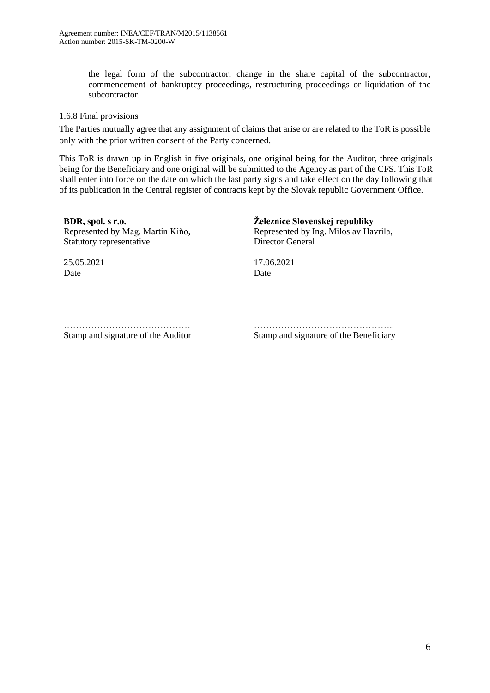the legal form of the subcontractor, change in the share capital of the subcontractor, commencement of bankruptcy proceedings, restructuring proceedings or liquidation of the subcontractor.

### 1.6.8 Final provisions

The Parties mutually agree that any assignment of claims that arise or are related to the ToR is possible only with the prior written consent of the Party concerned.

This ToR is drawn up in English in five originals, one original being for the Auditor, three originals being for the Beneficiary and one original will be submitted to the Agency as part of the CFS. This ToR shall enter into force on the date on which the last party signs and take effect on the day following that of its publication in the Central register of contracts kept by the Slovak republic Government Office.

| BDR, spol. s r.o.                | Zeleznice Slovenskej republiky        |
|----------------------------------|---------------------------------------|
| Represented by Mag. Martin Kiňo, | Represented by Ing. Miloslav Havrila, |
| Statutory representative         | Director General                      |
| 25.05.2021                       | 17.06.2021                            |
| Date                             | Date                                  |

…………………………………… Stamp and signature of the Auditor ……………………………………….. Stamp and signature of the Beneficiary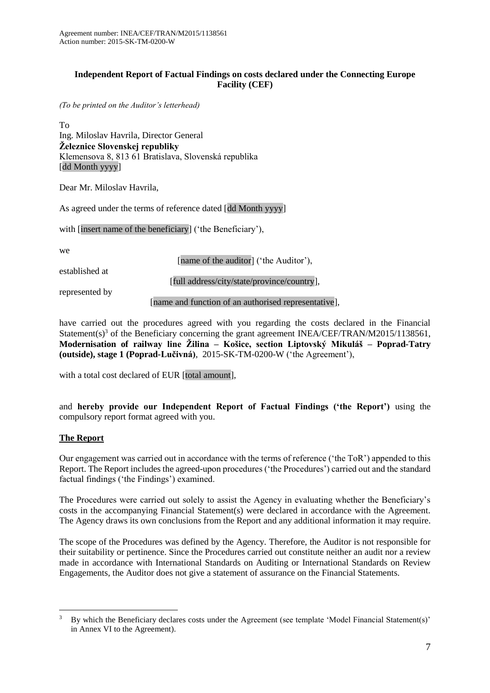## **Independent Report of Factual Findings on costs declared under the Connecting Europe Facility (CEF)**

*(To be printed on the Auditor's letterhead)*

To Ing. Miloslav Havrila, Director General **Železnice Slovenskej republiky** Klemensova 8, 813 61 Bratislava, Slovenská republika [dd Month yyyy]

Dear Mr. Miloslav Havrila,

As agreed under the terms of reference dated [dd Month yyyy]

with [insert name of the beneficiary] ('the Beneficiary'),

 $W$  $\rho$ 

[name of the auditor] ('the Auditor'),

established at

[full address/city/state/province/country]*,*

represented by

[name and function of an authorised representative]*,*

have carried out the procedures agreed with you regarding the costs declared in the Financial Statement(s)<sup>3</sup> of the Beneficiary concerning the grant agreement INEA/CEF/TRAN/M2015/1138561, **Modernisation of railway line Žilina – Košice, section Liptovský Mikuláš – Poprad-Tatry (outside), stage 1 (Poprad-Lučivná)**, 2015-SK-TM-0200-W ('the Agreement'),

with a total cost declared of EUR [total amount],

and **hereby provide our Independent Report of Factual Findings ('the Report')** using the compulsory report format agreed with you.

### **The Report**

1

Our engagement was carried out in accordance with the terms of reference ('the ToR') appended to this Report. The Report includes the agreed-upon procedures ('the Procedures') carried out and the standard factual findings ('the Findings') examined.

The Procedures were carried out solely to assist the Agency in evaluating whether the Beneficiary's costs in the accompanying Financial Statement(s) were declared in accordance with the Agreement. The Agency draws its own conclusions from the Report and any additional information it may require.

The scope of the Procedures was defined by the Agency*.* Therefore, the Auditor is not responsible for their suitability or pertinence. Since the Procedures carried out constitute neither an audit nor a review made in accordance with International Standards on Auditing or International Standards on Review Engagements, the Auditor does not give a statement of assurance on the Financial Statements.

<sup>&</sup>lt;sup>3</sup> By which the Beneficiary declares costs under the Agreement (see template 'Model Financial Statement(s)' in Annex VI to the Agreement).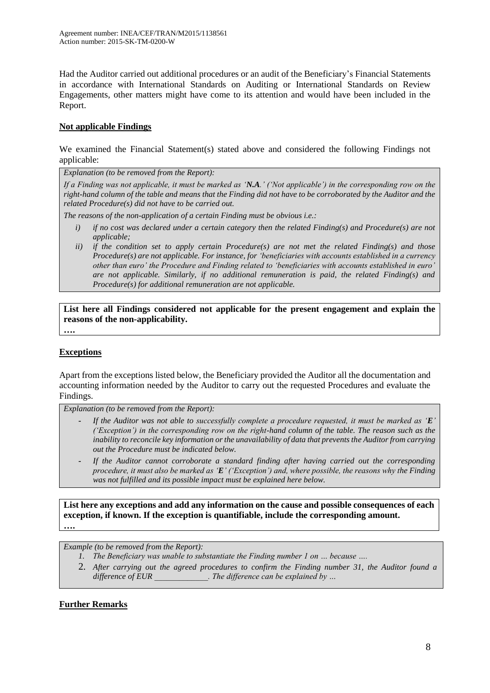Had the Auditor carried out additional procedures or an audit of the Beneficiary's Financial Statements in accordance with International Standards on Auditing or International Standards on Review Engagements, other matters might have come to its attention and would have been included in the Report.

## **Not applicable Findings**

We examined the Financial Statement(s) stated above and considered the following Findings not applicable:

*Explanation (to be removed from the Report):*

*If a Finding was not applicable, it must be marked as 'N.A.' ('Not applicable') in the corresponding row on the right-hand column of the table and means that the Finding did not have to be corroborated by the Auditor and the related Procedure(s) did not have to be carried out.*

*The reasons of the non-application of a certain Finding must be obvious i.e.:*

- *i) if no cost was declared under a certain category then the related Finding(s) and Procedure(s) are not applicable;*
- *ii) if the condition set to apply certain Procedure(s) are not met the related Finding(s) and those Procedure(s) are not applicable. For instance, for 'beneficiaries with accounts established in a currency other than euro' the Procedure and Finding related to 'beneficiaries with accounts established in euro' are not applicable. Similarly, if no additional remuneration is paid, the related Finding(s) and Procedure(s) for additional remuneration are not applicable.*

**List here all Findings considered not applicable for the present engagement and explain the reasons of the non-applicability.**

**….**

## **Exceptions**

Apart from the exceptions listed below, the Beneficiary provided the Auditor all the documentation and accounting information needed by the Auditor to carry out the requested Procedures and evaluate the Findings.

*Explanation (to be removed from the Report):*

- **-** *If the Auditor was not able to successfully complete a procedure requested, it must be marked as 'E' ('Exception') in the corresponding row on the right-hand column of the table. The reason such as the inability to reconcile key information or the unavailability of data that prevents the Auditor from carrying out the Procedure must be indicated below.*
- **-** *If the Auditor cannot corroborate a standard finding after having carried out the corresponding procedure, it must also be marked as 'E' ('Exception') and, where possible, the reasons why the Finding was not fulfilled and its possible impact must be explained here below.*

**List here any exceptions and add any information on the cause and possible consequences of each exception, if known. If the exception is quantifiable, include the corresponding amount. ….** 

*Example (to be removed from the Report):*

- *1. The Beneficiary was unable to substantiate the Finding number 1 on … because ….*
- 2. *After carrying out the agreed procedures to confirm the Finding number 31, the Auditor found a difference of EUR* The difference can be explained by ...

## **Further Remarks**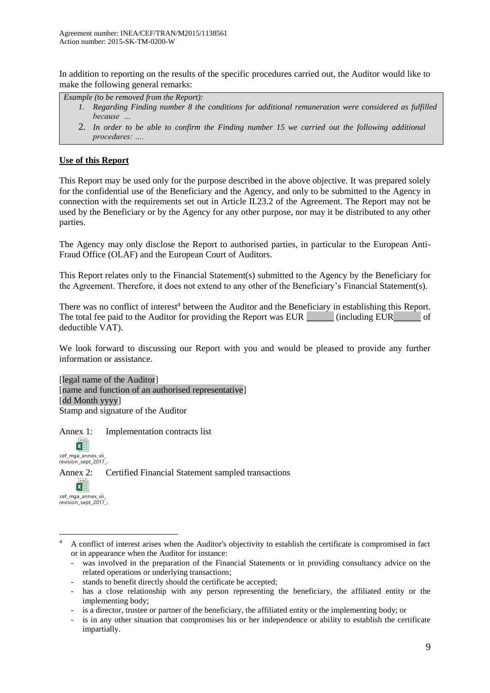In addition to reporting on the results of the specific procedures carried out, the Auditor would like to make the following general remarks:

| <i>Example (to be removed from the Report):</i>                                                       |
|-------------------------------------------------------------------------------------------------------|
| 1. Regarding Finding number 8 the conditions for additional remuneration were considered as fulfilled |
| because                                                                                               |
|                                                                                                       |

2. *In order to be able to confirm the Finding number 15 we carried out the following additional procedures: ….* 

## **Use of this Report**

This Report may be used only for the purpose described in the above objective. It was prepared solely for the confidential use of the Beneficiary and the Agency, and only to be submitted to the Agency in connection with the requirements set out in Article II.23.2 of the Agreement. The Report may not be used by the Beneficiary or by the Agency for any other purpose, nor may it be distributed to any other parties.

The Agency may only disclose the Report to authorised parties, in particular to the European Anti-Fraud Office (OLAF) and the European Court of Auditors.

This Report relates only to the Financial Statement(s) submitted to the Agency by the Beneficiary for the Agreement. Therefore, it does not extend to any other of the Beneficiary's Financial Statement(s).

There was no conflict of interest<sup>4</sup> between the Auditor and the Beneficiary in establishing this Report. The total fee paid to the Auditor for providing the Report was EUR cincluding EUR of deductible VAT).

We look forward to discussing our Report with you and would be pleased to provide any further information or assistance.

[legal name of the Auditor] [name and function of an authorised representative] [dd Month yyyy] Stamp and signature of the Auditor

Annex 1: Implementation contracts list

<u>.</u>

k∎ cef\_mga\_annex\_vii\_ revision\_sept\_2017 $\overline{a}$ Annex 2: Certified Financial Statement sampled transactions x≣ cef\_mga\_annex\_vii\_ revision\_sept\_2017

<sup>4</sup> A conflict of interest arises when the Auditor's objectivity to establish the certificate is compromised in fact or in appearance when the Auditor for instance:

<sup>-</sup> was involved in the preparation of the Financial Statements or in providing consultancy advice on the related operations or underlying transactions;

stands to benefit directly should the certificate be accepted;

has a close relationship with any person representing the beneficiary, the affiliated entity or the implementing body;

is a director, trustee or partner of the beneficiary, the affiliated entity or the implementing body; or

is in any other situation that compromises his or her independence or ability to establish the certificate impartially.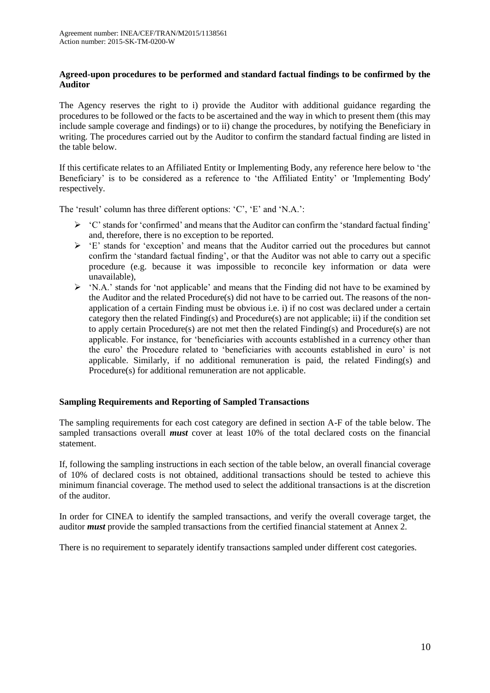### **Agreed-upon procedures to be performed and standard factual findings to be confirmed by the Auditor**

The Agency reserves the right to i) provide the Auditor with additional guidance regarding the procedures to be followed or the facts to be ascertained and the way in which to present them (this may include sample coverage and findings) or to ii) change the procedures, by notifying the Beneficiary in writing. The procedures carried out by the Auditor to confirm the standard factual finding are listed in the table below.

If this certificate relates to an Affiliated Entity or Implementing Body, any reference here below to 'the Beneficiary' is to be considered as a reference to 'the Affiliated Entity' or 'Implementing Body' respectively.

The 'result' column has three different options: 'C', 'E' and 'N.A.':

- $\triangleright$  'C' stands for 'confirmed' and means that the Auditor can confirm the 'standard factual finding' and, therefore, there is no exception to be reported.
- 'E' stands for 'exception' and means that the Auditor carried out the procedures but cannot confirm the 'standard factual finding', or that the Auditor was not able to carry out a specific procedure (e.g. because it was impossible to reconcile key information or data were unavailable),
- $\triangleright$  'N.A.' stands for 'not applicable' and means that the Finding did not have to be examined by the Auditor and the related Procedure(s) did not have to be carried out. The reasons of the nonapplication of a certain Finding must be obvious i.e. i) if no cost was declared under a certain category then the related Finding(s) and Procedure(s) are not applicable; ii) if the condition set to apply certain Procedure(s) are not met then the related Finding(s) and Procedure(s) are not applicable. For instance, for 'beneficiaries with accounts established in a currency other than the euro' the Procedure related to 'beneficiaries with accounts established in euro' is not applicable. Similarly, if no additional remuneration is paid, the related Finding(s) and Procedure(s) for additional remuneration are not applicable.

### **Sampling Requirements and Reporting of Sampled Transactions**

The sampling requirements for each cost category are defined in section A-F of the table below. The sampled transactions overall *must* cover at least 10% of the total declared costs on the financial statement.

If, following the sampling instructions in each section of the table below, an overall financial coverage of 10% of declared costs is not obtained, additional transactions should be tested to achieve this minimum financial coverage. The method used to select the additional transactions is at the discretion of the auditor.

In order for CINEA to identify the sampled transactions, and verify the overall coverage target, the auditor *must* provide the sampled transactions from the certified financial statement at Annex 2.

There is no requirement to separately identify transactions sampled under different cost categories.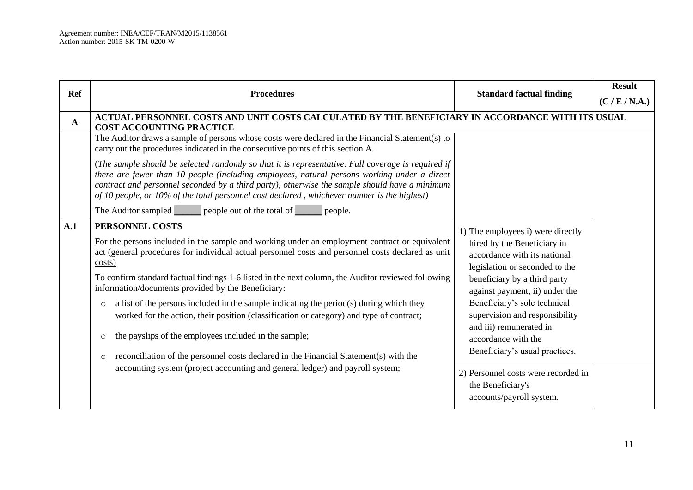| <b>Ref</b>   | <b>Procedures</b>                                                                                                                                                                                                                                                                                                                                                                                                                                                                                                                                                                                                                                                                                                                                                      | <b>Standard factual finding</b>                                                                                                                                                                                                                                                                                                                            | <b>Result</b> |
|--------------|------------------------------------------------------------------------------------------------------------------------------------------------------------------------------------------------------------------------------------------------------------------------------------------------------------------------------------------------------------------------------------------------------------------------------------------------------------------------------------------------------------------------------------------------------------------------------------------------------------------------------------------------------------------------------------------------------------------------------------------------------------------------|------------------------------------------------------------------------------------------------------------------------------------------------------------------------------------------------------------------------------------------------------------------------------------------------------------------------------------------------------------|---------------|
|              |                                                                                                                                                                                                                                                                                                                                                                                                                                                                                                                                                                                                                                                                                                                                                                        |                                                                                                                                                                                                                                                                                                                                                            | (C/ E/N.A.)   |
| $\mathbf{A}$ | ACTUAL PERSONNEL COSTS AND UNIT COSTS CALCULATED BY THE BENEFICIARY IN ACCORDANCE WITH ITS USUAL<br><b>COST ACCOUNTING PRACTICE</b>                                                                                                                                                                                                                                                                                                                                                                                                                                                                                                                                                                                                                                    |                                                                                                                                                                                                                                                                                                                                                            |               |
|              | The Auditor draws a sample of persons whose costs were declared in the Financial Statement(s) to<br>carry out the procedures indicated in the consecutive points of this section A.                                                                                                                                                                                                                                                                                                                                                                                                                                                                                                                                                                                    |                                                                                                                                                                                                                                                                                                                                                            |               |
|              | (The sample should be selected randomly so that it is representative. Full coverage is required if<br>there are fewer than 10 people (including employees, natural persons working under a direct<br>contract and personnel seconded by a third party), otherwise the sample should have a minimum<br>of 10 people, or 10% of the total personnel cost declared, whichever number is the highest)                                                                                                                                                                                                                                                                                                                                                                      |                                                                                                                                                                                                                                                                                                                                                            |               |
|              | The Auditor sampled enterprise people out of the total of enterprise people.                                                                                                                                                                                                                                                                                                                                                                                                                                                                                                                                                                                                                                                                                           |                                                                                                                                                                                                                                                                                                                                                            |               |
| A.1          | PERSONNEL COSTS<br>For the persons included in the sample and working under an employment contract or equivalent<br>act (general procedures for individual actual personnel costs and personnel costs declared as unit<br>costs)<br>To confirm standard factual findings 1-6 listed in the next column, the Auditor reviewed following<br>information/documents provided by the Beneficiary:<br>a list of the persons included in the sample indicating the period(s) during which they<br>$\circ$<br>worked for the action, their position (classification or category) and type of contract;<br>the payslips of the employees included in the sample;<br>$\circ$<br>reconciliation of the personnel costs declared in the Financial Statement(s) with the<br>$\circ$ | 1) The employees i) were directly<br>hired by the Beneficiary in<br>accordance with its national<br>legislation or seconded to the<br>beneficiary by a third party<br>against payment, ii) under the<br>Beneficiary's sole technical<br>supervision and responsibility<br>and iii) remunerated in<br>accordance with the<br>Beneficiary's usual practices. |               |
|              | accounting system (project accounting and general ledger) and payroll system;                                                                                                                                                                                                                                                                                                                                                                                                                                                                                                                                                                                                                                                                                          | 2) Personnel costs were recorded in<br>the Beneficiary's<br>accounts/payroll system.                                                                                                                                                                                                                                                                       |               |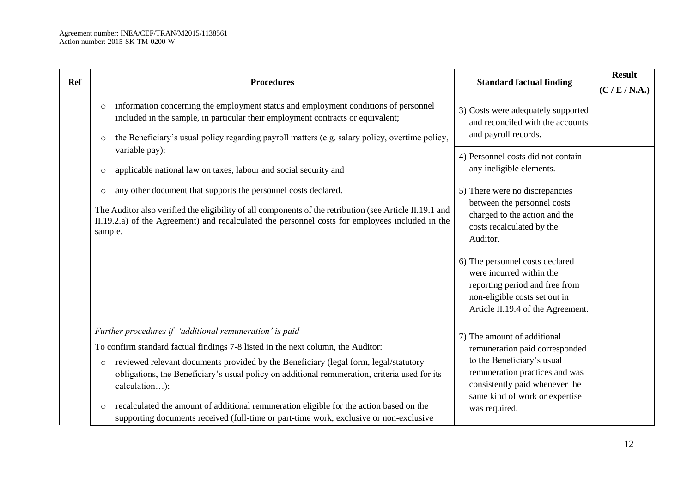|                    | <b>Procedures</b>                                                                                                                                                                                                                                                                                                                                                                                                                                                                                                                          | <b>Standard factual finding</b>                                                                                                                                                                                    | <b>Result</b><br>(C / E / N.A.) |
|--------------------|--------------------------------------------------------------------------------------------------------------------------------------------------------------------------------------------------------------------------------------------------------------------------------------------------------------------------------------------------------------------------------------------------------------------------------------------------------------------------------------------------------------------------------------------|--------------------------------------------------------------------------------------------------------------------------------------------------------------------------------------------------------------------|---------------------------------|
| $\circ$<br>$\circ$ | information concerning the employment status and employment conditions of personnel<br>included in the sample, in particular their employment contracts or equivalent;<br>the Beneficiary's usual policy regarding payroll matters (e.g. salary policy, overtime policy,                                                                                                                                                                                                                                                                   | 3) Costs were adequately supported<br>and reconciled with the accounts<br>and payroll records.                                                                                                                     |                                 |
| $\circ$            | variable pay);<br>applicable national law on taxes, labour and social security and                                                                                                                                                                                                                                                                                                                                                                                                                                                         | 4) Personnel costs did not contain<br>any ineligible elements.                                                                                                                                                     |                                 |
| $\circ$            | any other document that supports the personnel costs declared.<br>The Auditor also verified the eligibility of all components of the retribution (see Article II.19.1 and<br>II.19.2.a) of the Agreement) and recalculated the personnel costs for employees included in the<br>sample.                                                                                                                                                                                                                                                    | 5) There were no discrepancies<br>between the personnel costs<br>charged to the action and the<br>costs recalculated by the<br>Auditor.                                                                            |                                 |
|                    |                                                                                                                                                                                                                                                                                                                                                                                                                                                                                                                                            | 6) The personnel costs declared<br>were incurred within the<br>reporting period and free from<br>non-eligible costs set out in<br>Article II.19.4 of the Agreement.                                                |                                 |
| $\circ$<br>$\circ$ | Further procedures if 'additional remuneration' is paid<br>To confirm standard factual findings 7-8 listed in the next column, the Auditor:<br>reviewed relevant documents provided by the Beneficiary (legal form, legal/statutory<br>obligations, the Beneficiary's usual policy on additional remuneration, criteria used for its<br>calculation);<br>recalculated the amount of additional remuneration eligible for the action based on the<br>supporting documents received (full-time or part-time work, exclusive or non-exclusive | 7) The amount of additional<br>remuneration paid corresponded<br>to the Beneficiary's usual<br>remuneration practices and was<br>consistently paid whenever the<br>same kind of work or expertise<br>was required. |                                 |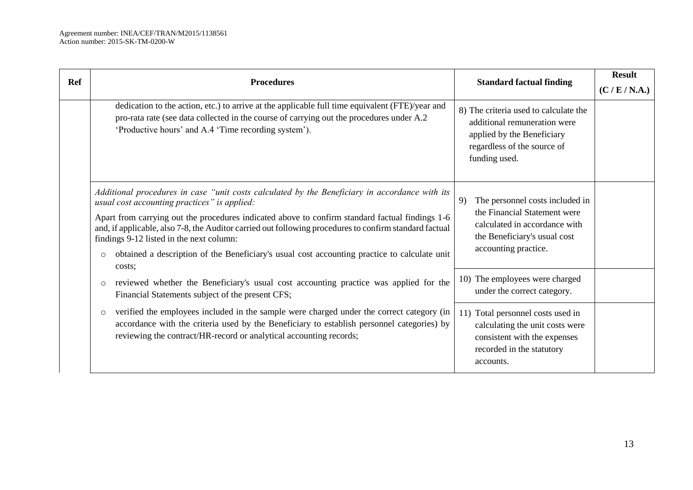| <b>Ref</b> | <b>Procedures</b>                                                                                                                                                                                                                                                                                                                                                                                                                                                                                                            | <b>Standard factual finding</b>                                                                                                                                | <b>Result</b>  |
|------------|------------------------------------------------------------------------------------------------------------------------------------------------------------------------------------------------------------------------------------------------------------------------------------------------------------------------------------------------------------------------------------------------------------------------------------------------------------------------------------------------------------------------------|----------------------------------------------------------------------------------------------------------------------------------------------------------------|----------------|
|            |                                                                                                                                                                                                                                                                                                                                                                                                                                                                                                                              |                                                                                                                                                                | (C / E / N.A.) |
|            | dedication to the action, etc.) to arrive at the applicable full time equivalent (FTE)/year and<br>pro-rata rate (see data collected in the course of carrying out the procedures under A.2<br>'Productive hours' and A.4 'Time recording system').                                                                                                                                                                                                                                                                          | 8) The criteria used to calculate the<br>additional remuneration were<br>applied by the Beneficiary<br>regardless of the source of<br>funding used.            |                |
|            | Additional procedures in case "unit costs calculated by the Beneficiary in accordance with its<br>usual cost accounting practices" is applied:<br>Apart from carrying out the procedures indicated above to confirm standard factual findings 1-6<br>and, if applicable, also 7-8, the Auditor carried out following procedures to confirm standard factual<br>findings 9-12 listed in the next column:<br>obtained a description of the Beneficiary's usual cost accounting practice to calculate unit<br>$\circ$<br>costs: | The personnel costs included in<br>9)<br>the Financial Statement were<br>calculated in accordance with<br>the Beneficiary's usual cost<br>accounting practice. |                |
|            | reviewed whether the Beneficiary's usual cost accounting practice was applied for the<br>$\circ$<br>Financial Statements subject of the present CFS;                                                                                                                                                                                                                                                                                                                                                                         | 10) The employees were charged<br>under the correct category.                                                                                                  |                |
|            | verified the employees included in the sample were charged under the correct category (in<br>$\circ$<br>accordance with the criteria used by the Beneficiary to establish personnel categories) by<br>reviewing the contract/HR-record or analytical accounting records;                                                                                                                                                                                                                                                     | 11) Total personnel costs used in<br>calculating the unit costs were<br>consistent with the expenses<br>recorded in the statutory<br>accounts.                 |                |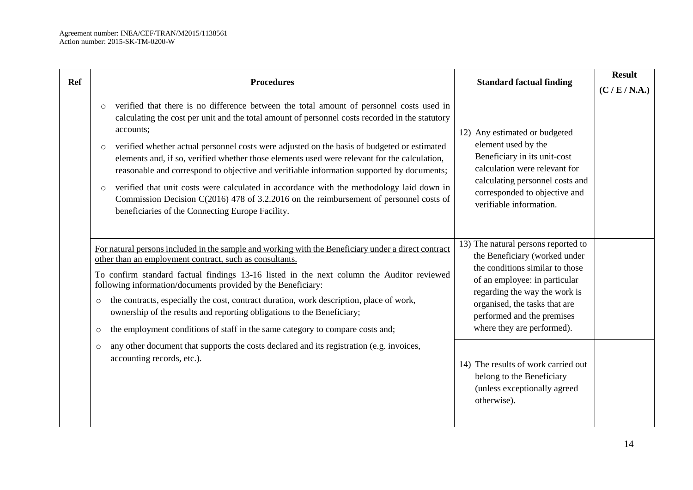| <b>Ref</b> | <b>Procedures</b>                                                                                                                                                                                                                                                                                                                                                                                                                                                                                                                                                                                                                                                                                                                                                                | <b>Standard factual finding</b>                                                                                                                                                                                                                                        | <b>Result</b><br>(C/ E/N.A.) |
|------------|----------------------------------------------------------------------------------------------------------------------------------------------------------------------------------------------------------------------------------------------------------------------------------------------------------------------------------------------------------------------------------------------------------------------------------------------------------------------------------------------------------------------------------------------------------------------------------------------------------------------------------------------------------------------------------------------------------------------------------------------------------------------------------|------------------------------------------------------------------------------------------------------------------------------------------------------------------------------------------------------------------------------------------------------------------------|------------------------------|
|            | verified that there is no difference between the total amount of personnel costs used in<br>$\Omega$<br>calculating the cost per unit and the total amount of personnel costs recorded in the statutory<br>accounts;<br>verified whether actual personnel costs were adjusted on the basis of budgeted or estimated<br>$\circ$<br>elements and, if so, verified whether those elements used were relevant for the calculation,<br>reasonable and correspond to objective and verifiable information supported by documents;<br>verified that unit costs were calculated in accordance with the methodology laid down in<br>$\circ$<br>Commission Decision C(2016) 478 of 3.2.2016 on the reimbursement of personnel costs of<br>beneficiaries of the Connecting Europe Facility. | 12) Any estimated or budgeted<br>element used by the<br>Beneficiary in its unit-cost<br>calculation were relevant for<br>calculating personnel costs and<br>corresponded to objective and<br>verifiable information.                                                   |                              |
|            | For natural persons included in the sample and working with the Beneficiary under a direct contract<br>other than an employment contract, such as consultants.<br>To confirm standard factual findings 13-16 listed in the next column the Auditor reviewed<br>following information/documents provided by the Beneficiary:<br>the contracts, especially the cost, contract duration, work description, place of work,<br>$\circ$<br>ownership of the results and reporting obligations to the Beneficiary;<br>the employment conditions of staff in the same category to compare costs and;<br>$\circ$                                                                                                                                                                          | 13) The natural persons reported to<br>the Beneficiary (worked under<br>the conditions similar to those<br>of an employee: in particular<br>regarding the way the work is<br>organised, the tasks that are<br>performed and the premises<br>where they are performed). |                              |
|            | any other document that supports the costs declared and its registration (e.g. invoices,<br>$\circ$<br>accounting records, etc.).                                                                                                                                                                                                                                                                                                                                                                                                                                                                                                                                                                                                                                                | 14) The results of work carried out<br>belong to the Beneficiary<br>(unless exceptionally agreed<br>otherwise).                                                                                                                                                        |                              |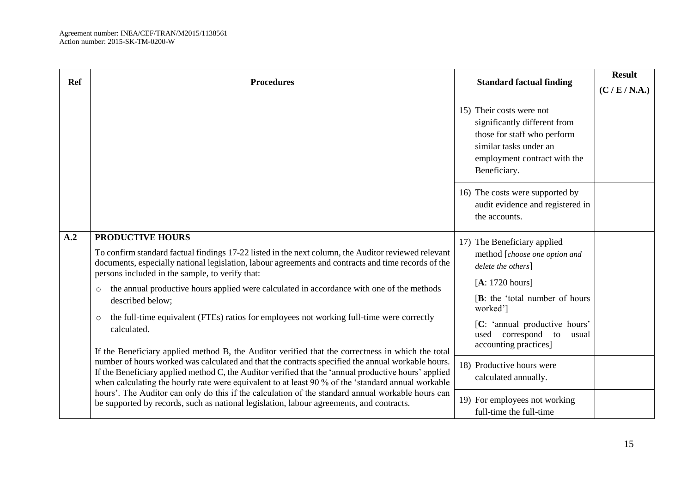| <b>Ref</b> | <b>Procedures</b>                                                                                                                                                                                                                                                                                                                                                                                                                                                                                                                                                                                                                                                                                                                                     | <b>Standard factual finding</b>                                                                                                                                                                                                                 | <b>Result</b><br>(C / E / N.A.) |
|------------|-------------------------------------------------------------------------------------------------------------------------------------------------------------------------------------------------------------------------------------------------------------------------------------------------------------------------------------------------------------------------------------------------------------------------------------------------------------------------------------------------------------------------------------------------------------------------------------------------------------------------------------------------------------------------------------------------------------------------------------------------------|-------------------------------------------------------------------------------------------------------------------------------------------------------------------------------------------------------------------------------------------------|---------------------------------|
|            |                                                                                                                                                                                                                                                                                                                                                                                                                                                                                                                                                                                                                                                                                                                                                       | 15) Their costs were not<br>significantly different from<br>those for staff who perform<br>similar tasks under an<br>employment contract with the<br>Beneficiary.                                                                               |                                 |
|            |                                                                                                                                                                                                                                                                                                                                                                                                                                                                                                                                                                                                                                                                                                                                                       | 16) The costs were supported by<br>audit evidence and registered in<br>the accounts.                                                                                                                                                            |                                 |
| A.2        | <b>PRODUCTIVE HOURS</b><br>To confirm standard factual findings 17-22 listed in the next column, the Auditor reviewed relevant<br>documents, especially national legislation, labour agreements and contracts and time records of the<br>persons included in the sample, to verify that:<br>the annual productive hours applied were calculated in accordance with one of the methods<br>$\circ$<br>described below;<br>the full-time equivalent (FTEs) ratios for employees not working full-time were correctly<br>$\circ$<br>calculated.<br>If the Beneficiary applied method B, the Auditor verified that the correctness in which the total<br>number of hours worked was calculated and that the contracts specified the annual workable hours. | 17) The Beneficiary applied<br>method [choose one option and<br>delete the others]<br>[A: 1720 hours]<br>[B: the 'total number of hours<br>worked']<br>[C: 'annual productive hours'<br>used correspond<br>to<br>usual<br>accounting practices] |                                 |
|            | If the Beneficiary applied method C, the Auditor verified that the 'annual productive hours' applied<br>when calculating the hourly rate were equivalent to at least 90 % of the 'standard annual workable<br>hours'. The Auditor can only do this if the calculation of the standard annual workable hours can<br>be supported by records, such as national legislation, labour agreements, and contracts.                                                                                                                                                                                                                                                                                                                                           | 18) Productive hours were<br>calculated annually.<br>19) For employees not working<br>full-time the full-time                                                                                                                                   |                                 |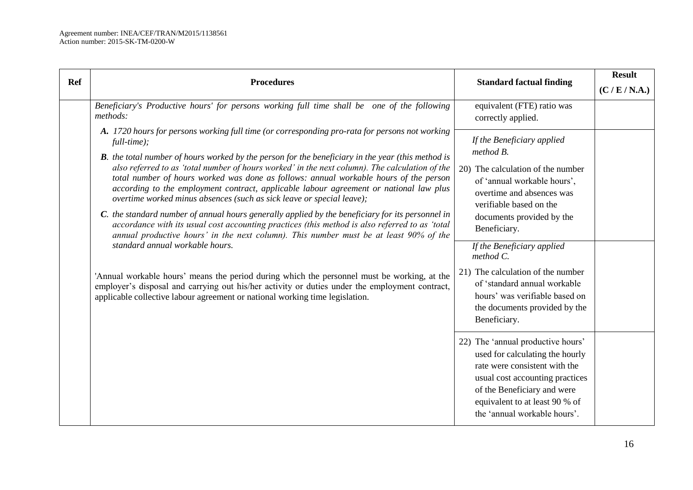| <b>Ref</b> | <b>Procedures</b>                                                                                                                                                                                                                                                                                                                                                                                                                                                                                                                                                                                                                                                                                                                                                                                                                                                                                                                                                                                                                                                                                                                                                                                            | <b>Standard factual finding</b>                                                                                                                                                                                                                                                                                                                                                                                     | <b>Result</b><br>(C / E / N.A.) |
|------------|--------------------------------------------------------------------------------------------------------------------------------------------------------------------------------------------------------------------------------------------------------------------------------------------------------------------------------------------------------------------------------------------------------------------------------------------------------------------------------------------------------------------------------------------------------------------------------------------------------------------------------------------------------------------------------------------------------------------------------------------------------------------------------------------------------------------------------------------------------------------------------------------------------------------------------------------------------------------------------------------------------------------------------------------------------------------------------------------------------------------------------------------------------------------------------------------------------------|---------------------------------------------------------------------------------------------------------------------------------------------------------------------------------------------------------------------------------------------------------------------------------------------------------------------------------------------------------------------------------------------------------------------|---------------------------------|
|            | Beneficiary's Productive hours' for persons working full time shall be one of the following<br>methods:                                                                                                                                                                                                                                                                                                                                                                                                                                                                                                                                                                                                                                                                                                                                                                                                                                                                                                                                                                                                                                                                                                      | equivalent (FTE) ratio was<br>correctly applied.                                                                                                                                                                                                                                                                                                                                                                    |                                 |
|            | A. 1720 hours for persons working full time (or corresponding pro-rata for persons not working<br>$full-time);$<br><b>B.</b> the total number of hours worked by the person for the beneficiary in the year (this method is<br>also referred to as 'total number of hours worked' in the next column). The calculation of the<br>total number of hours worked was done as follows: annual workable hours of the person<br>according to the employment contract, applicable labour agreement or national law plus<br>overtime worked minus absences (such as sick leave or special leave);<br>C. the standard number of annual hours generally applied by the beneficiary for its personnel in<br>accordance with its usual cost accounting practices (this method is also referred to as 'total<br>annual productive hours' in the next column). This number must be at least 90% of the<br>standard annual workable hours.<br>'Annual workable hours' means the period during which the personnel must be working, at the<br>employer's disposal and carrying out his/her activity or duties under the employment contract,<br>applicable collective labour agreement or national working time legislation. | If the Beneficiary applied<br>method B.<br>20) The calculation of the number<br>of 'annual workable hours',<br>overtime and absences was<br>verifiable based on the<br>documents provided by the<br>Beneficiary.<br>If the Beneficiary applied<br>method C.<br>21) The calculation of the number<br>of 'standard annual workable<br>hours' was verifiable based on<br>the documents provided by the<br>Beneficiary. |                                 |
|            |                                                                                                                                                                                                                                                                                                                                                                                                                                                                                                                                                                                                                                                                                                                                                                                                                                                                                                                                                                                                                                                                                                                                                                                                              | 22) The 'annual productive hours'<br>used for calculating the hourly<br>rate were consistent with the<br>usual cost accounting practices<br>of the Beneficiary and were<br>equivalent to at least 90 % of<br>the 'annual workable hours'.                                                                                                                                                                           |                                 |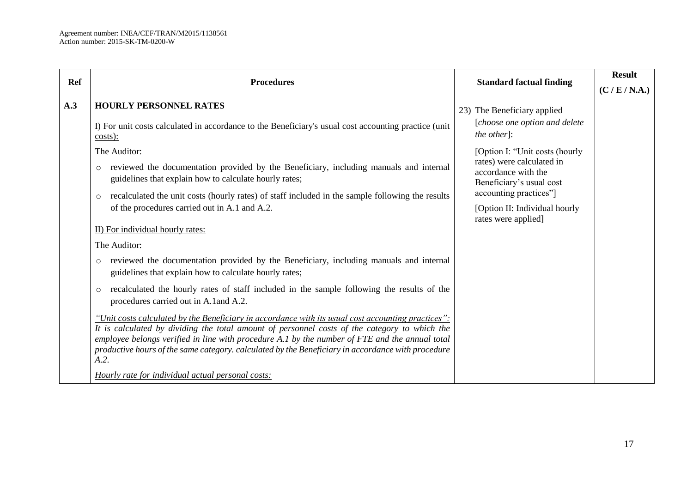| <b>Ref</b> | <b>Procedures</b>                                                                                                                                                                                                                                                                                                                                                                                                                                                       | <b>Standard factual finding</b>                                                                                                                                                                  | <b>Result</b>  |
|------------|-------------------------------------------------------------------------------------------------------------------------------------------------------------------------------------------------------------------------------------------------------------------------------------------------------------------------------------------------------------------------------------------------------------------------------------------------------------------------|--------------------------------------------------------------------------------------------------------------------------------------------------------------------------------------------------|----------------|
|            |                                                                                                                                                                                                                                                                                                                                                                                                                                                                         |                                                                                                                                                                                                  | (C / E / N.A.) |
| A.3        | <b>HOURLY PERSONNEL RATES</b><br>I) For unit costs calculated in accordance to the Beneficiary's usual cost accounting practice (unit<br>costs):                                                                                                                                                                                                                                                                                                                        | 23) The Beneficiary applied<br>[choose one option and delete<br>the other]:                                                                                                                      |                |
|            | The Auditor:<br>reviewed the documentation provided by the Beneficiary, including manuals and internal<br>guidelines that explain how to calculate hourly rates;<br>recalculated the unit costs (hourly rates) of staff included in the sample following the results<br>$\circ$<br>of the procedures carried out in A.1 and A.2.<br>II) For individual hourly rates:<br>The Auditor:                                                                                    | [Option I: "Unit costs (hourly<br>rates) were calculated in<br>accordance with the<br>Beneficiary's usual cost<br>accounting practices"]<br>[Option II: Individual hourly<br>rates were applied. |                |
|            | reviewed the documentation provided by the Beneficiary, including manuals and internal<br>$\circ$<br>guidelines that explain how to calculate hourly rates;                                                                                                                                                                                                                                                                                                             |                                                                                                                                                                                                  |                |
|            | recalculated the hourly rates of staff included in the sample following the results of the<br>$\circ$<br>procedures carried out in A.1 and A.2.                                                                                                                                                                                                                                                                                                                         |                                                                                                                                                                                                  |                |
|            | "Unit costs calculated by the Beneficiary in accordance with its usual cost accounting practices":<br>It is calculated by dividing the total amount of personnel costs of the category to which the<br>employee belongs verified in line with procedure A.1 by the number of FTE and the annual total<br>productive hours of the same category. calculated by the Beneficiary in accordance with procedure<br>A.2.<br>Hourly rate for individual actual personal costs: |                                                                                                                                                                                                  |                |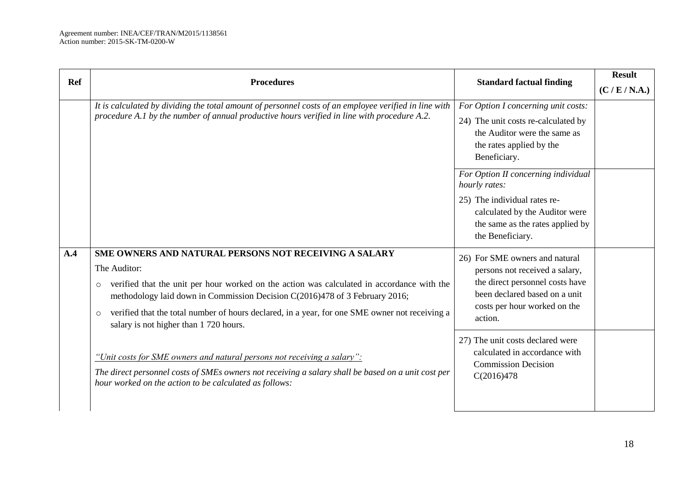| <b>Ref</b> | <b>Procedures</b>                                                                                                                                                                                                                                                                                                                                                                                                                                                                                                                                                                                                                                                     | <b>Standard factual finding</b>                                                                                                                                                                                                                                                                                                          | <b>Result</b>  |
|------------|-----------------------------------------------------------------------------------------------------------------------------------------------------------------------------------------------------------------------------------------------------------------------------------------------------------------------------------------------------------------------------------------------------------------------------------------------------------------------------------------------------------------------------------------------------------------------------------------------------------------------------------------------------------------------|------------------------------------------------------------------------------------------------------------------------------------------------------------------------------------------------------------------------------------------------------------------------------------------------------------------------------------------|----------------|
|            |                                                                                                                                                                                                                                                                                                                                                                                                                                                                                                                                                                                                                                                                       |                                                                                                                                                                                                                                                                                                                                          | (C / E / N.A.) |
|            | It is calculated by dividing the total amount of personnel costs of an employee verified in line with<br>procedure A.1 by the number of annual productive hours verified in line with procedure A.2.                                                                                                                                                                                                                                                                                                                                                                                                                                                                  | For Option I concerning unit costs:<br>24) The unit costs re-calculated by<br>the Auditor were the same as<br>the rates applied by the<br>Beneficiary.<br>For Option II concerning individual<br>hourly rates:<br>25) The individual rates re-<br>calculated by the Auditor were<br>the same as the rates applied by<br>the Beneficiary. |                |
| A.4        | <b>SME OWNERS AND NATURAL PERSONS NOT RECEIVING A SALARY</b><br>The Auditor:<br>verified that the unit per hour worked on the action was calculated in accordance with the<br>$\circ$<br>methodology laid down in Commission Decision C(2016)478 of 3 February 2016;<br>verified that the total number of hours declared, in a year, for one SME owner not receiving a<br>$\circ$<br>salary is not higher than 1720 hours.<br>"Unit costs for SME owners and natural persons not receiving a salary":<br>The direct personnel costs of SMEs owners not receiving a salary shall be based on a unit cost per<br>hour worked on the action to be calculated as follows: | 26) For SME owners and natural<br>persons not received a salary,<br>the direct personnel costs have<br>been declared based on a unit<br>costs per hour worked on the<br>action.<br>27) The unit costs declared were<br>calculated in accordance with<br><b>Commission Decision</b><br>C(2016)478                                         |                |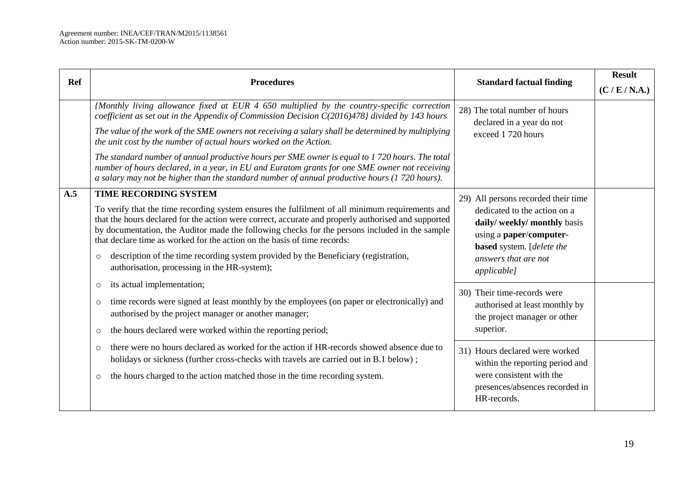| Ref | <b>Procedures</b>                                                                                                                                                                                                                                                                                                                                                                                                                                                                                                                                                      | <b>Standard factual finding</b>                                                                                                                                                                        | <b>Result</b>  |
|-----|------------------------------------------------------------------------------------------------------------------------------------------------------------------------------------------------------------------------------------------------------------------------------------------------------------------------------------------------------------------------------------------------------------------------------------------------------------------------------------------------------------------------------------------------------------------------|--------------------------------------------------------------------------------------------------------------------------------------------------------------------------------------------------------|----------------|
|     |                                                                                                                                                                                                                                                                                                                                                                                                                                                                                                                                                                        |                                                                                                                                                                                                        | (C / E / N.A.) |
|     | {Monthly living allowance fixed at EUR 4 650 multiplied by the country-specific correction<br>coefficient as set out in the Appendix of Commission Decision C(2016)478} divided by 143 hours                                                                                                                                                                                                                                                                                                                                                                           | 28) The total number of hours<br>declared in a year do not                                                                                                                                             |                |
|     | The value of the work of the SME owners not receiving a salary shall be determined by multiplying<br>the unit cost by the number of actual hours worked on the Action.                                                                                                                                                                                                                                                                                                                                                                                                 | exceed 1 720 hours                                                                                                                                                                                     |                |
|     | The standard number of annual productive hours per SME owner is equal to 1720 hours. The total<br>number of hours declared, in a year, in EU and Euratom grants for one SME owner not receiving<br>a salary may not be higher than the standard number of annual productive hours (1 720 hours).                                                                                                                                                                                                                                                                       |                                                                                                                                                                                                        |                |
| A.5 | <b>TIME RECORDING SYSTEM</b><br>To verify that the time recording system ensures the fulfilment of all minimum requirements and<br>that the hours declared for the action were correct, accurate and properly authorised and supported<br>by documentation, the Auditor made the following checks for the persons included in the sample<br>that declare time as worked for the action on the basis of time records:<br>description of the time recording system provided by the Beneficiary (registration,<br>$\circ$<br>authorisation, processing in the HR-system); | 29) All persons recorded their time<br>dedicated to the action on a<br>daily/weekly/monthlybasis<br>using a paper/computer-<br>based system. [delete the<br>answers that are not<br><i>applicable]</i> |                |
|     | its actual implementation;<br>$\circ$<br>time records were signed at least monthly by the employees (on paper or electronically) and<br>$\circ$<br>authorised by the project manager or another manager;<br>the hours declared were worked within the reporting period;<br>$\circ$                                                                                                                                                                                                                                                                                     | 30) Their time-records were<br>authorised at least monthly by<br>the project manager or other<br>superior.                                                                                             |                |
|     | there were no hours declared as worked for the action if HR-records showed absence due to<br>$\circ$<br>holidays or sickness (further cross-checks with travels are carried out in B.1 below);<br>the hours charged to the action matched those in the time recording system.<br>$\circ$                                                                                                                                                                                                                                                                               | 31) Hours declared were worked<br>within the reporting period and<br>were consistent with the<br>presences/absences recorded in<br>HR-records.                                                         |                |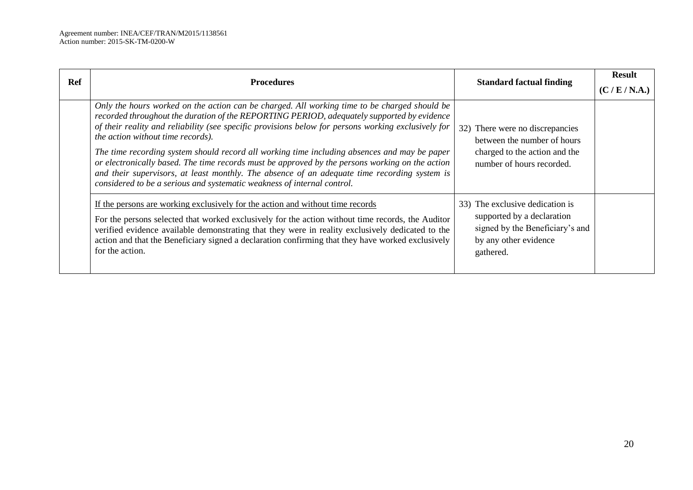| Ref | <b>Procedures</b>                                                                                                                                                                                                                                                                                                                                                                                                                                                                                                                                                                                                                                                                                                    |                                                                                                                                        | <b>Result</b>  |
|-----|----------------------------------------------------------------------------------------------------------------------------------------------------------------------------------------------------------------------------------------------------------------------------------------------------------------------------------------------------------------------------------------------------------------------------------------------------------------------------------------------------------------------------------------------------------------------------------------------------------------------------------------------------------------------------------------------------------------------|----------------------------------------------------------------------------------------------------------------------------------------|----------------|
|     |                                                                                                                                                                                                                                                                                                                                                                                                                                                                                                                                                                                                                                                                                                                      | <b>Standard factual finding</b>                                                                                                        | (C / E / N.A.) |
|     | Only the hours worked on the action can be charged. All working time to be charged should be<br>recorded throughout the duration of the REPORTING PERIOD, adequately supported by evidence<br>of their reality and reliability (see specific provisions below for persons working exclusively for<br>the action without time records).<br>The time recording system should record all working time including absences and may be paper<br>or electronically based. The time records must be approved by the persons working on the action<br>and their supervisors, at least monthly. The absence of an adequate time recording system is<br>considered to be a serious and systematic weakness of internal control. | 32) There were no discrepancies<br>between the number of hours<br>charged to the action and the<br>number of hours recorded.           |                |
|     | If the persons are working exclusively for the action and without time records<br>For the persons selected that worked exclusively for the action without time records, the Auditor<br>verified evidence available demonstrating that they were in reality exclusively dedicated to the<br>action and that the Beneficiary signed a declaration confirming that they have worked exclusively<br>for the action.                                                                                                                                                                                                                                                                                                      | 33) The exclusive dedication is<br>supported by a declaration<br>signed by the Beneficiary's and<br>by any other evidence<br>gathered. |                |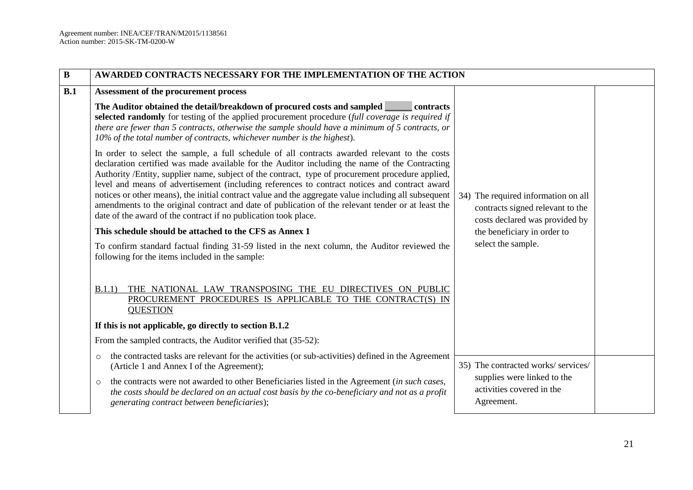| $\overline{\mathbf{B}}$ | AWARDED CONTRACTS NECESSARY FOR THE IMPLEMENTATION OF THE ACTION                                                                                                                                                                                                                                                                                                                                                                                                                                                                                                                                                                                                                       |                                                                                                           |
|-------------------------|----------------------------------------------------------------------------------------------------------------------------------------------------------------------------------------------------------------------------------------------------------------------------------------------------------------------------------------------------------------------------------------------------------------------------------------------------------------------------------------------------------------------------------------------------------------------------------------------------------------------------------------------------------------------------------------|-----------------------------------------------------------------------------------------------------------|
| B.1                     | Assessment of the procurement process                                                                                                                                                                                                                                                                                                                                                                                                                                                                                                                                                                                                                                                  |                                                                                                           |
|                         | contracts<br>selected randomly for testing of the applied procurement procedure (full coverage is required if<br>there are fewer than 5 contracts, otherwise the sample should have a minimum of 5 contracts, or<br>10% of the total number of contracts, whichever number is the highest).                                                                                                                                                                                                                                                                                                                                                                                            |                                                                                                           |
|                         | In order to select the sample, a full schedule of all contracts awarded relevant to the costs<br>declaration certified was made available for the Auditor including the name of the Contracting<br>Authority /Entity, supplier name, subject of the contract, type of procurement procedure applied,<br>level and means of advertisement (including references to contract notices and contract award<br>notices or other means), the initial contract value and the aggregate value including all subsequent<br>amendments to the original contract and date of publication of the relevant tender or at least the<br>date of the award of the contract if no publication took place. | 34) The required information on all<br>contracts signed relevant to the<br>costs declared was provided by |
|                         | This schedule should be attached to the CFS as Annex 1                                                                                                                                                                                                                                                                                                                                                                                                                                                                                                                                                                                                                                 | the beneficiary in order to                                                                               |
|                         | To confirm standard factual finding 31-59 listed in the next column, the Auditor reviewed the<br>following for the items included in the sample:                                                                                                                                                                                                                                                                                                                                                                                                                                                                                                                                       | select the sample.                                                                                        |
|                         | THE NATIONAL LAW TRANSPOSING THE EU DIRECTIVES ON PUBLIC<br>B.1.1)<br>PROCUREMENT PROCEDURES IS APPLICABLE TO THE CONTRACT(S) IN<br><b>QUESTION</b>                                                                                                                                                                                                                                                                                                                                                                                                                                                                                                                                    |                                                                                                           |
|                         | If this is not applicable, go directly to section B.1.2                                                                                                                                                                                                                                                                                                                                                                                                                                                                                                                                                                                                                                |                                                                                                           |
|                         | From the sampled contracts, the Auditor verified that (35-52):                                                                                                                                                                                                                                                                                                                                                                                                                                                                                                                                                                                                                         |                                                                                                           |
|                         | the contracted tasks are relevant for the activities (or sub-activities) defined in the Agreement<br>$\circ$<br>(Article 1 and Annex I of the Agreement);                                                                                                                                                                                                                                                                                                                                                                                                                                                                                                                              | 35) The contracted works/services/                                                                        |
|                         | the contracts were not awarded to other Beneficiaries listed in the Agreement <i>(in such cases,</i><br>$\circ$<br>the costs should be declared on an actual cost basis by the co-beneficiary and not as a profit<br>generating contract between beneficiaries);                                                                                                                                                                                                                                                                                                                                                                                                                       | supplies were linked to the<br>activities covered in the<br>Agreement.                                    |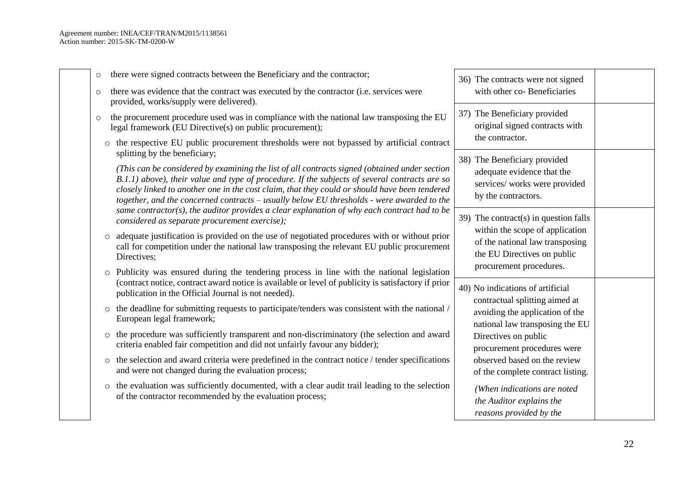o there were signed contracts between the Beneficiary and the contractor; o there was evidence that the contract was executed by the contractor (i.e. services were provided, works/supply were delivered).  $\circ$  the procurement procedure used was in compliance with the national law transposing the EU legal framework (EU Directive(s) on public procurement); o the respective EU public procurement thresholds were not bypassed by artificial contract splitting by the beneficiary: *(This can be considered by examining the list of all contracts signed (obtained under section B.1.1) above), their value and type of procedure. If the subjects of several contracts are so closely linked to another one in the cost claim, that they could or should have been tendered together, and the concerned contracts – usually below EU thresholds - were awarded to the same contractor(s), the auditor provides a clear explanation of why each contract had to be considered as separate procurement exercise);* o adequate justification is provided on the use of negotiated procedures with or without prior call for competition under the national law transposing the relevant EU public procurement Directives: o Publicity was ensured during the tendering process in line with the national legislation (contract notice, contract award notice is available or level of publicity is satisfactory if prior publication in the Official Journal is not needed). o the deadline for submitting requests to participate/tenders was consistent with the national / European legal framework; o the procedure was sufficiently transparent and non-discriminatory (the selection and award criteria enabled fair competition and did not unfairly favour any bidder); o the selection and award criteria were predefined in the contract notice / tender specifications and were not changed during the evaluation process;  $\circ$  the evaluation was sufficiently documented, with a clear audit trail leading to the selection of the contractor recommended by the evaluation process; 36) The contracts were not signed with other co- Beneficiaries 37) The Beneficiary provided original signed contracts with the contractor. 38) The Beneficiary provided adequate evidence that the services/ works were provided by the contractors. 39) The contract(s) in question falls within the scope of application of the national law transposing the EU Directives on public procurement procedures. 40) No indications of artificial contractual splitting aimed at avoiding the application of the national law transposing the EU Directives on public procurement procedures were observed based on the review of the complete contract listing. *(When indications are noted the Auditor explains the reasons provided by the*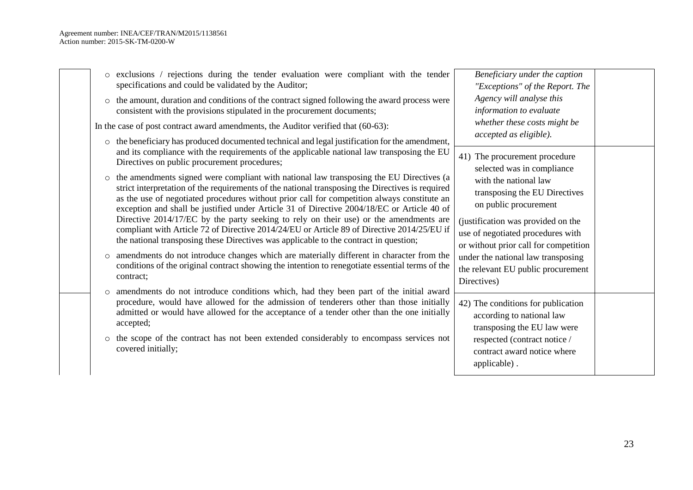|         | o exclusions / rejections during the tender evaluation were compliant with the tender<br>specifications and could be validated by the Auditor;                                                                                                                                                                                                                                                                                                                                    | Beneficiary under the caption<br>"Exceptions" of the Report. The                                                      |
|---------|-----------------------------------------------------------------------------------------------------------------------------------------------------------------------------------------------------------------------------------------------------------------------------------------------------------------------------------------------------------------------------------------------------------------------------------------------------------------------------------|-----------------------------------------------------------------------------------------------------------------------|
|         | • the amount, duration and conditions of the contract signed following the award process were<br>consistent with the provisions stipulated in the procurement documents;                                                                                                                                                                                                                                                                                                          | Agency will analyse this<br>information to evaluate                                                                   |
|         | In the case of post contract award amendments, the Auditor verified that (60-63):                                                                                                                                                                                                                                                                                                                                                                                                 | whether these costs might be                                                                                          |
|         | • the beneficiary has produced documented technical and legal justification for the amendment,<br>and its compliance with the requirements of the applicable national law transposing the EU<br>Directives on public procurement procedures;                                                                                                                                                                                                                                      | accepted as eligible).<br>41) The procurement procedure<br>selected was in compliance                                 |
| $\circ$ | the amendments signed were compliant with national law transposing the EU Directives (a<br>strict interpretation of the requirements of the national transposing the Directives is required<br>as the use of negotiated procedures without prior call for competition always constitute an<br>exception and shall be justified under Article 31 of Directive 2004/18/EC or Article 40 of<br>Directive 2014/17/EC by the party seeking to rely on their use) or the amendments are | with the national law<br>transposing the EU Directives<br>on public procurement<br>(justification was provided on the |
|         | compliant with Article 72 of Directive 2014/24/EU or Article 89 of Directive 2014/25/EU if<br>the national transposing these Directives was applicable to the contract in question;                                                                                                                                                                                                                                                                                               | use of negotiated procedures with<br>or without prior call for competition                                            |
|         | amendments do not introduce changes which are materially different in character from the<br>conditions of the original contract showing the intention to renegotiate essential terms of the<br>contract;                                                                                                                                                                                                                                                                          | under the national law transposing<br>the relevant EU public procurement<br>Directives)                               |
| $\circ$ | amendments do not introduce conditions which, had they been part of the initial award<br>procedure, would have allowed for the admission of tenderers other than those initially<br>admitted or would have allowed for the acceptance of a tender other than the one initially<br>accepted;                                                                                                                                                                                       | 42) The conditions for publication<br>according to national law<br>transposing the EU law were                        |
|         | the scope of the contract has not been extended considerably to encompass services not<br>covered initially;                                                                                                                                                                                                                                                                                                                                                                      | respected (contract notice /<br>contract award notice where<br>applicable).                                           |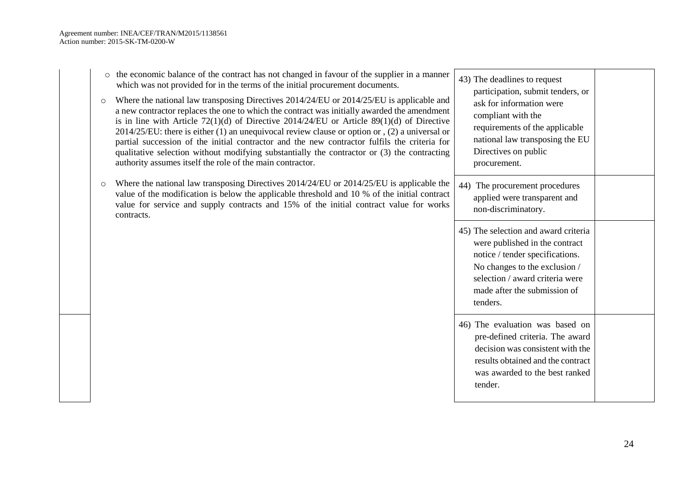| $\circ$<br>$\circ$ | the economic balance of the contract has not changed in favour of the supplier in a manner<br>which was not provided for in the terms of the initial procurement documents.<br>Where the national law transposing Directives 2014/24/EU or 2014/25/EU is applicable and<br>a new contractor replaces the one to which the contract was initially awarded the amendment<br>is in line with Article $72(1)(d)$ of Directive $2014/24/EU$ or Article $89(1)(d)$ of Directive<br>$2014/25/EU$ : there is either (1) an unequivocal review clause or option or , (2) a universal or<br>partial succession of the initial contractor and the new contractor fulfils the criteria for<br>qualitative selection without modifying substantially the contractor or (3) the contracting<br>authority assumes itself the role of the main contractor. | 43) The deadlines to request<br>participation, submit tenders, or<br>ask for information were<br>compliant with the<br>requirements of the applicable<br>national law transposing the EU<br>Directives on public<br>procurement.                                                                                   |  |
|--------------------|--------------------------------------------------------------------------------------------------------------------------------------------------------------------------------------------------------------------------------------------------------------------------------------------------------------------------------------------------------------------------------------------------------------------------------------------------------------------------------------------------------------------------------------------------------------------------------------------------------------------------------------------------------------------------------------------------------------------------------------------------------------------------------------------------------------------------------------------|--------------------------------------------------------------------------------------------------------------------------------------------------------------------------------------------------------------------------------------------------------------------------------------------------------------------|--|
| $\circ$            | Where the national law transposing Directives $2014/24/EU$ or $2014/25/EU$ is applicable the<br>value of the modification is below the applicable threshold and 10 % of the initial contract<br>value for service and supply contracts and 15% of the initial contract value for works<br>contracts.                                                                                                                                                                                                                                                                                                                                                                                                                                                                                                                                       | 44) The procurement procedures<br>applied were transparent and<br>non-discriminatory.<br>45) The selection and award criteria<br>were published in the contract<br>notice / tender specifications.<br>No changes to the exclusion /<br>selection / award criteria were<br>made after the submission of<br>tenders. |  |
|                    |                                                                                                                                                                                                                                                                                                                                                                                                                                                                                                                                                                                                                                                                                                                                                                                                                                            | 46) The evaluation was based on<br>pre-defined criteria. The award<br>decision was consistent with the<br>results obtained and the contract<br>was awarded to the best ranked<br>tender.                                                                                                                           |  |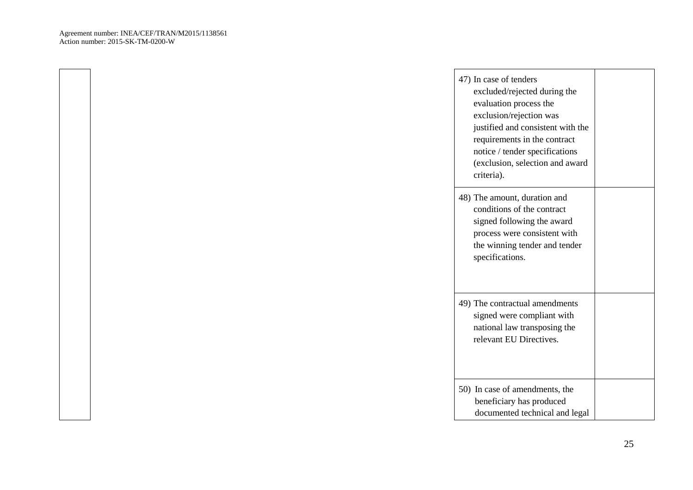| 47) In case of tenders<br>excluded/rejected during the<br>evaluation process the<br>exclusion/rejection was<br>justified and consistent with the<br>requirements in the contract<br>notice / tender specifications<br>(exclusion, selection and award<br>criteria). |
|---------------------------------------------------------------------------------------------------------------------------------------------------------------------------------------------------------------------------------------------------------------------|
| 48) The amount, duration and<br>conditions of the contract<br>signed following the award<br>process were consistent with<br>the winning tender and tender<br>specifications.                                                                                        |
| 49) The contractual amendments<br>signed were compliant with<br>national law transposing the<br>relevant EU Directives.                                                                                                                                             |
| 50) In case of amendments, the<br>beneficiary has produced<br>documented technical and legal                                                                                                                                                                        |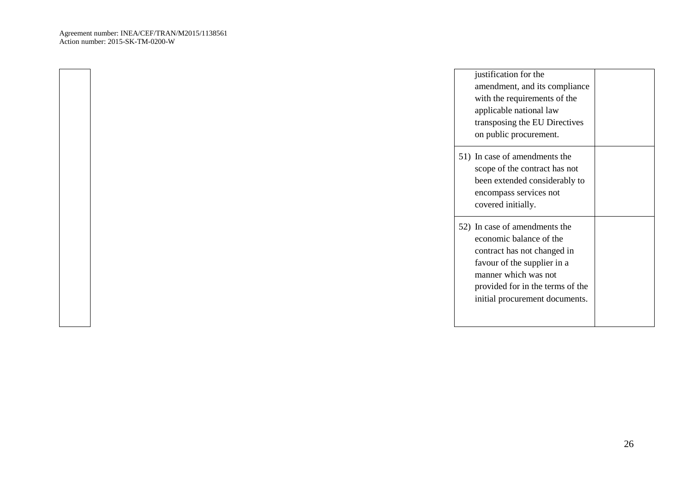| justification for the<br>amendment, and its compliance<br>with the requirements of the<br>applicable national law<br>transposing the EU Directives<br>on public procurement.                                         |  |
|----------------------------------------------------------------------------------------------------------------------------------------------------------------------------------------------------------------------|--|
| 51) In case of amendments the<br>scope of the contract has not<br>been extended considerably to<br>encompass services not<br>covered initially.                                                                      |  |
| 52) In case of amendments the<br>economic balance of the<br>contract has not changed in<br>favour of the supplier in a<br>manner which was not<br>provided for in the terms of the<br>initial procurement documents. |  |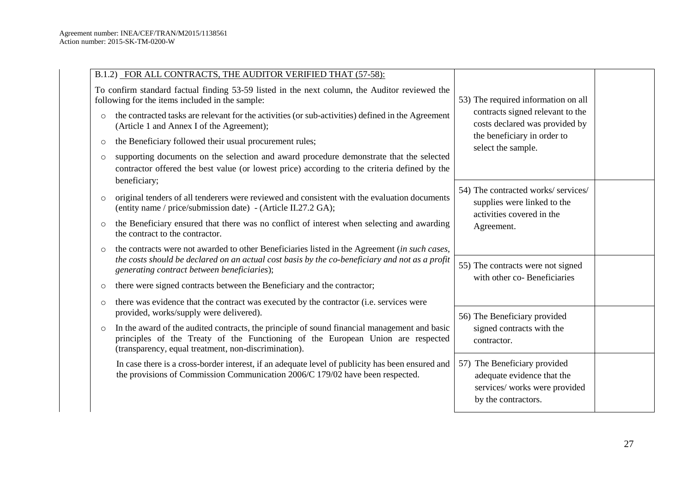|         | B.1.2) FOR ALL CONTRACTS, THE AUDITOR VERIFIED THAT (57-58):                                                                                                                                                                                   |                                                                                                                    |  |
|---------|------------------------------------------------------------------------------------------------------------------------------------------------------------------------------------------------------------------------------------------------|--------------------------------------------------------------------------------------------------------------------|--|
|         | To confirm standard factual finding 53-59 listed in the next column, the Auditor reviewed the<br>following for the items included in the sample:                                                                                               | 53) The required information on all                                                                                |  |
| $\circ$ | the contracted tasks are relevant for the activities (or sub-activities) defined in the Agreement<br>(Article 1 and Annex I of the Agreement);                                                                                                 | contracts signed relevant to the<br>costs declared was provided by                                                 |  |
| $\circ$ | the Beneficiary followed their usual procurement rules;                                                                                                                                                                                        | the beneficiary in order to<br>select the sample.                                                                  |  |
| $\circ$ | supporting documents on the selection and award procedure demonstrate that the selected<br>contractor offered the best value (or lowest price) according to the criteria defined by the<br>beneficiary;                                        |                                                                                                                    |  |
| $\circ$ | original tenders of all tenderers were reviewed and consistent with the evaluation documents<br>(entity name / price/submission date) - (Article II.27.2 GA);                                                                                  | 54) The contracted works/ services/<br>supplies were linked to the<br>activities covered in the                    |  |
| $\circ$ | the Beneficiary ensured that there was no conflict of interest when selecting and awarding<br>the contract to the contractor.                                                                                                                  | Agreement.                                                                                                         |  |
| $\circ$ | the contracts were not awarded to other Beneficiaries listed in the Agreement (in such cases,<br>the costs should be declared on an actual cost basis by the co-beneficiary and not as a profit<br>generating contract between beneficiaries); | 55) The contracts were not signed<br>with other co-Beneficiaries                                                   |  |
| $\circ$ | there were signed contracts between the Beneficiary and the contractor;                                                                                                                                                                        |                                                                                                                    |  |
| $\circ$ | there was evidence that the contract was executed by the contractor (i.e. services were<br>provided, works/supply were delivered).                                                                                                             | 56) The Beneficiary provided                                                                                       |  |
| $\circ$ | In the award of the audited contracts, the principle of sound financial management and basic<br>principles of the Treaty of the Functioning of the European Union are respected<br>(transparency, equal treatment, non-discrimination).        | signed contracts with the<br>contractor.                                                                           |  |
|         | In case there is a cross-border interest, if an adequate level of publicity has been ensured and<br>the provisions of Commission Communication 2006/C 179/02 have been respected.                                                              | 57) The Beneficiary provided<br>adequate evidence that the<br>services/ works were provided<br>by the contractors. |  |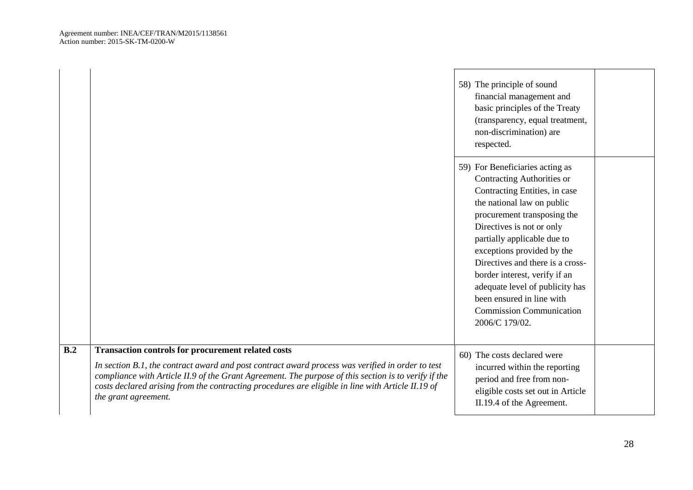|     |                                                                                                                                                                                                                                                                                                                                                                                                    | 58) The principle of sound<br>financial management and<br>basic principles of the Treaty<br>(transparency, equal treatment,<br>non-discrimination) are<br>respected.                                                                                                                                                                                                                                                                            |
|-----|----------------------------------------------------------------------------------------------------------------------------------------------------------------------------------------------------------------------------------------------------------------------------------------------------------------------------------------------------------------------------------------------------|-------------------------------------------------------------------------------------------------------------------------------------------------------------------------------------------------------------------------------------------------------------------------------------------------------------------------------------------------------------------------------------------------------------------------------------------------|
|     |                                                                                                                                                                                                                                                                                                                                                                                                    | 59) For Beneficiaries acting as<br>Contracting Authorities or<br>Contracting Entities, in case<br>the national law on public<br>procurement transposing the<br>Directives is not or only<br>partially applicable due to<br>exceptions provided by the<br>Directives and there is a cross-<br>border interest, verify if an<br>adequate level of publicity has<br>been ensured in line with<br><b>Commission Communication</b><br>2006/C 179/02. |
| B.2 | <b>Transaction controls for procurement related costs</b><br>In section B.1, the contract award and post contract award process was verified in order to test<br>compliance with Article II.9 of the Grant Agreement. The purpose of this section is to verify if the<br>costs declared arising from the contracting procedures are eligible in line with Article II.19 of<br>the grant agreement. | 60) The costs declared were<br>incurred within the reporting<br>period and free from non-<br>eligible costs set out in Article<br>II.19.4 of the Agreement.                                                                                                                                                                                                                                                                                     |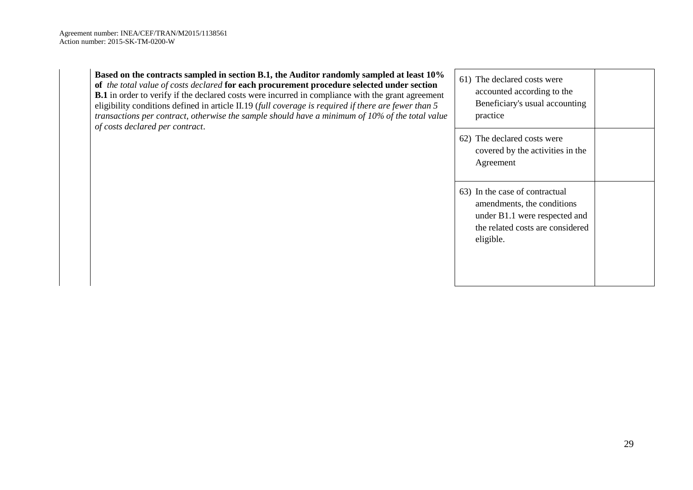| least 10%<br>r section<br>agreement<br>er than 5<br>total value | 61) The declared costs were<br>accounted according to the<br>Beneficiary's usual accounting<br>practice                                        |
|-----------------------------------------------------------------|------------------------------------------------------------------------------------------------------------------------------------------------|
|                                                                 | 62) The declared costs were<br>covered by the activities in the<br>Agreement                                                                   |
|                                                                 | 63) In the case of contractual<br>amendments, the conditions<br>under B1.1 were respected and<br>the related costs are considered<br>eligible. |

**Based on the contracts sampled in section B.1, the Auditor randomly sampled at of** the total value of costs declared **for each procurement procedure selected under** 

**B.1** in order to verify if the declared costs were incurred in compliance with the grant eligibility conditions defined in article II.19 (*full coverage is required if there are fewe transactions per contract, otherwise the sample should have a minimum of 10% of the of costs declared per contract*.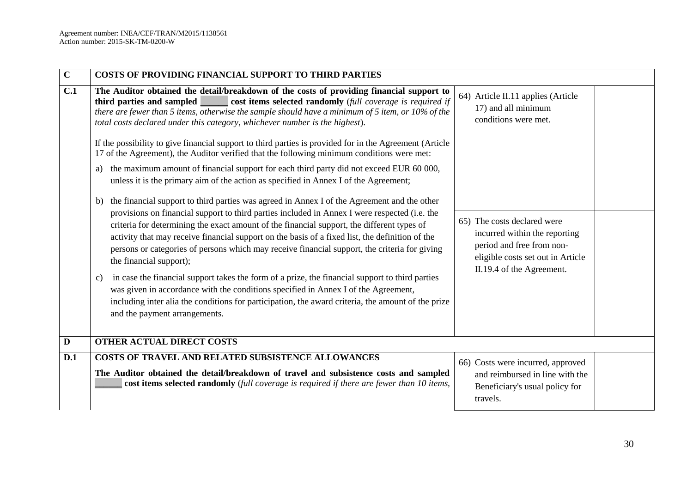| $\mathbf C$ | COSTS OF PROVIDING FINANCIAL SUPPORT TO THIRD PARTIES                                                                                                                                                                                                                                                                                                                                                                                                                                                                                                                                                                                                                                                                                                                                                                                                                                                                                                                                                                                                                                                                                                                                                                                                                                                                                                                                                                                                                                                                                                                                                                                              |                                                                                                                                                                                                                                                  |
|-------------|----------------------------------------------------------------------------------------------------------------------------------------------------------------------------------------------------------------------------------------------------------------------------------------------------------------------------------------------------------------------------------------------------------------------------------------------------------------------------------------------------------------------------------------------------------------------------------------------------------------------------------------------------------------------------------------------------------------------------------------------------------------------------------------------------------------------------------------------------------------------------------------------------------------------------------------------------------------------------------------------------------------------------------------------------------------------------------------------------------------------------------------------------------------------------------------------------------------------------------------------------------------------------------------------------------------------------------------------------------------------------------------------------------------------------------------------------------------------------------------------------------------------------------------------------------------------------------------------------------------------------------------------------|--------------------------------------------------------------------------------------------------------------------------------------------------------------------------------------------------------------------------------------------------|
| C.1         | The Auditor obtained the detail/breakdown of the costs of providing financial support to<br>third parties and sampled cost items selected randomly (full coverage is required if<br>there are fewer than 5 items, otherwise the sample should have a minimum of 5 item, or $10\%$ of the<br>total costs declared under this category, whichever number is the highest).<br>If the possibility to give financial support to third parties is provided for in the Agreement (Article<br>17 of the Agreement), the Auditor verified that the following minimum conditions were met:<br>the maximum amount of financial support for each third party did not exceed EUR 60 000,<br>a)<br>unless it is the primary aim of the action as specified in Annex I of the Agreement;<br>the financial support to third parties was agreed in Annex I of the Agreement and the other<br>b)<br>provisions on financial support to third parties included in Annex I were respected (i.e. the<br>criteria for determining the exact amount of the financial support, the different types of<br>activity that may receive financial support on the basis of a fixed list, the definition of the<br>persons or categories of persons which may receive financial support, the criteria for giving<br>the financial support);<br>in case the financial support takes the form of a prize, the financial support to third parties<br>c)<br>was given in accordance with the conditions specified in Annex I of the Agreement,<br>including inter alia the conditions for participation, the award criteria, the amount of the prize<br>and the payment arrangements. | 64) Article II.11 applies (Article<br>17) and all minimum<br>conditions were met.<br>65) The costs declared were<br>incurred within the reporting<br>period and free from non-<br>eligible costs set out in Article<br>II.19.4 of the Agreement. |
| D           | <b>OTHER ACTUAL DIRECT COSTS</b>                                                                                                                                                                                                                                                                                                                                                                                                                                                                                                                                                                                                                                                                                                                                                                                                                                                                                                                                                                                                                                                                                                                                                                                                                                                                                                                                                                                                                                                                                                                                                                                                                   |                                                                                                                                                                                                                                                  |
| D.1         | COSTS OF TRAVEL AND RELATED SUBSISTENCE ALLOWANCES<br>The Auditor obtained the detail/breakdown of travel and subsistence costs and sampled<br>cost items selected randomly (full coverage is required if there are fewer than 10 items,                                                                                                                                                                                                                                                                                                                                                                                                                                                                                                                                                                                                                                                                                                                                                                                                                                                                                                                                                                                                                                                                                                                                                                                                                                                                                                                                                                                                           | 66) Costs were incurred, approved<br>and reimbursed in line with the<br>Beneficiary's usual policy for<br>travels.                                                                                                                               |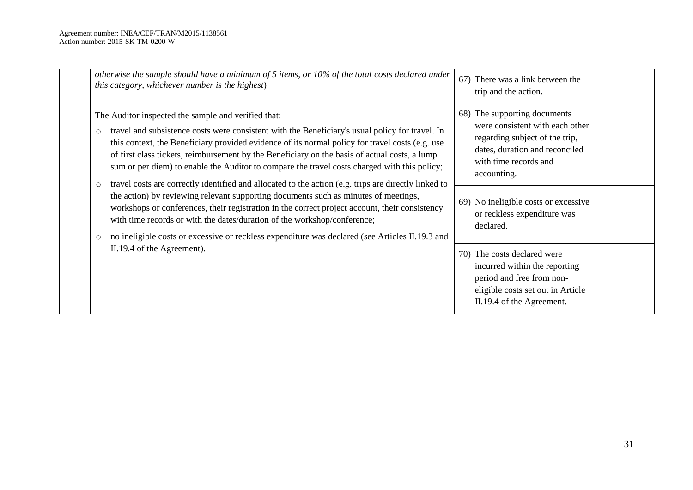| otherwise the sample should have a minimum of 5 items, or $10\%$ of the total costs declared under<br>this category, whichever number is the highest)                                                                                                                                                                                                                                                                                                                                                                                                                                    | 67) There was a link between the<br>trip and the action.                                                                                                                    |  |
|------------------------------------------------------------------------------------------------------------------------------------------------------------------------------------------------------------------------------------------------------------------------------------------------------------------------------------------------------------------------------------------------------------------------------------------------------------------------------------------------------------------------------------------------------------------------------------------|-----------------------------------------------------------------------------------------------------------------------------------------------------------------------------|--|
| The Auditor inspected the sample and verified that:<br>travel and subsistence costs were consistent with the Beneficiary's usual policy for travel. In<br>$\circ$<br>this context, the Beneficiary provided evidence of its normal policy for travel costs (e.g. use<br>of first class tickets, reimbursement by the Beneficiary on the basis of actual costs, a lump<br>sum or per diem) to enable the Auditor to compare the travel costs charged with this policy;<br>travel costs are correctly identified and allocated to the action (e.g. trips are directly linked to<br>$\circ$ | 68) The supporting documents<br>were consistent with each other<br>regarding subject of the trip,<br>dates, duration and reconciled<br>with time records and<br>accounting. |  |
| the action) by reviewing relevant supporting documents such as minutes of meetings,<br>workshops or conferences, their registration in the correct project account, their consistency<br>with time records or with the dates/duration of the workshop/conference;<br>no ineligible costs or excessive or reckless expenditure was declared (see Articles II.19.3 and<br>$\circ$                                                                                                                                                                                                          | 69) No ineligible costs or excessive<br>or reckless expenditure was<br>declared.                                                                                            |  |
| II.19.4 of the Agreement).                                                                                                                                                                                                                                                                                                                                                                                                                                                                                                                                                               | 70) The costs declared were<br>incurred within the reporting<br>period and free from non-<br>eligible costs set out in Article<br>II.19.4 of the Agreement.                 |  |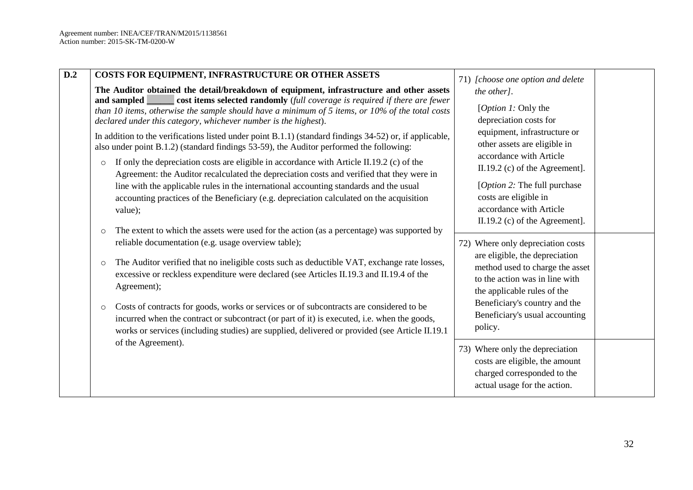| $\overline{D.2}$ | COSTS FOR EQUIPMENT, INFRASTRUCTURE OR OTHER ASSETS                                                                                                                                                                                                                                                                                                                                                                                                                                                                      | 71) [choose one option and delete                                                                                                                                                                                                                     |
|------------------|--------------------------------------------------------------------------------------------------------------------------------------------------------------------------------------------------------------------------------------------------------------------------------------------------------------------------------------------------------------------------------------------------------------------------------------------------------------------------------------------------------------------------|-------------------------------------------------------------------------------------------------------------------------------------------------------------------------------------------------------------------------------------------------------|
|                  | The Auditor obtained the detail/breakdown of equipment, infrastructure and other assets                                                                                                                                                                                                                                                                                                                                                                                                                                  | the other].                                                                                                                                                                                                                                           |
|                  | cost items selected randomly (full coverage is required if there are fewer<br>and sampled<br>than 10 items, otherwise the sample should have a minimum of 5 items, or $10\%$ of the total costs<br>declared under this category, whichever number is the highest).                                                                                                                                                                                                                                                       | [ <i>Option 1</i> : Only the<br>depreciation costs for                                                                                                                                                                                                |
|                  | In addition to the verifications listed under point B.1.1) (standard findings 34-52) or, if applicable,<br>also under point B.1.2) (standard findings 53-59), the Auditor performed the following:                                                                                                                                                                                                                                                                                                                       | equipment, infrastructure or<br>other assets are eligible in                                                                                                                                                                                          |
|                  | If only the depreciation costs are eligible in accordance with Article II.19.2 (c) of the<br>$\circ$<br>Agreement: the Auditor recalculated the depreciation costs and verified that they were in                                                                                                                                                                                                                                                                                                                        | accordance with Article<br>$II.19.2$ (c) of the Agreement].                                                                                                                                                                                           |
|                  | line with the applicable rules in the international accounting standards and the usual<br>accounting practices of the Beneficiary (e.g. depreciation calculated on the acquisition<br>value);                                                                                                                                                                                                                                                                                                                            | [ <i>Option 2</i> : The full purchase<br>costs are eligible in<br>accordance with Article<br>$II.19.2$ (c) of the Agreement.                                                                                                                          |
|                  | The extent to which the assets were used for the action (as a percentage) was supported by<br>$\circ$<br>reliable documentation (e.g. usage overview table);                                                                                                                                                                                                                                                                                                                                                             |                                                                                                                                                                                                                                                       |
|                  | The Auditor verified that no ineligible costs such as deductible VAT, exchange rate losses,<br>$\circ$<br>excessive or reckless expenditure were declared (see Articles II.19.3 and II.19.4 of the<br>Agreement);<br>Costs of contracts for goods, works or services or of subcontracts are considered to be<br>$\circ$<br>incurred when the contract or subcontract (or part of it) is executed, i.e. when the goods,<br>works or services (including studies) are supplied, delivered or provided (see Article II.19.1 | 72) Where only depreciation costs<br>are eligible, the depreciation<br>method used to charge the asset<br>to the action was in line with<br>the applicable rules of the<br>Beneficiary's country and the<br>Beneficiary's usual accounting<br>policy. |
|                  | of the Agreement).                                                                                                                                                                                                                                                                                                                                                                                                                                                                                                       | 73) Where only the depreciation<br>costs are eligible, the amount<br>charged corresponded to the<br>actual usage for the action.                                                                                                                      |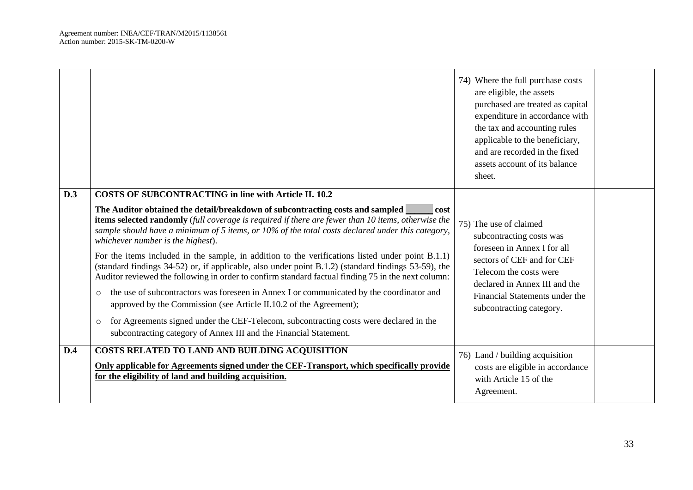|     |                                                                                                                                                                                                                                                                                                                                                                                                                                                                                                                                                                                                                                                                                                                                                                                                                                                                                                                                                                                                                                                                              | 74) Where the full purchase costs<br>are eligible, the assets<br>purchased are treated as capital<br>expenditure in accordance with<br>the tax and accounting rules<br>applicable to the beneficiary,<br>and are recorded in the fixed<br>assets account of its balance<br>sheet. |  |
|-----|------------------------------------------------------------------------------------------------------------------------------------------------------------------------------------------------------------------------------------------------------------------------------------------------------------------------------------------------------------------------------------------------------------------------------------------------------------------------------------------------------------------------------------------------------------------------------------------------------------------------------------------------------------------------------------------------------------------------------------------------------------------------------------------------------------------------------------------------------------------------------------------------------------------------------------------------------------------------------------------------------------------------------------------------------------------------------|-----------------------------------------------------------------------------------------------------------------------------------------------------------------------------------------------------------------------------------------------------------------------------------|--|
| D.3 | <b>COSTS OF SUBCONTRACTING in line with Article II. 10.2</b><br>The Auditor obtained the detail/breakdown of subcontracting costs and sampled<br>cost<br>items selected randomly (full coverage is required if there are fewer than 10 items, otherwise the<br>sample should have a minimum of 5 items, or 10% of the total costs declared under this category,<br>whichever number is the highest).<br>For the items included in the sample, in addition to the verifications listed under point B.1.1)<br>(standard findings 34-52) or, if applicable, also under point B.1.2) (standard findings 53-59), the<br>Auditor reviewed the following in order to confirm standard factual finding 75 in the next column:<br>the use of subcontractors was foreseen in Annex I or communicated by the coordinator and<br>$\circ$<br>approved by the Commission (see Article II.10.2 of the Agreement);<br>for Agreements signed under the CEF-Telecom, subcontracting costs were declared in the<br>$\circ$<br>subcontracting category of Annex III and the Financial Statement. | 75) The use of claimed<br>subcontracting costs was<br>foreseen in Annex I for all<br>sectors of CEF and for CEF<br>Telecom the costs were<br>declared in Annex III and the<br>Financial Statements under the<br>subcontracting category.                                          |  |
| D.4 | COSTS RELATED TO LAND AND BUILDING ACQUISITION<br>Only applicable for Agreements signed under the CEF-Transport, which specifically provide<br>for the eligibility of land and building acquisition.                                                                                                                                                                                                                                                                                                                                                                                                                                                                                                                                                                                                                                                                                                                                                                                                                                                                         | 76) Land / building acquisition<br>costs are eligible in accordance<br>with Article 15 of the<br>Agreement.                                                                                                                                                                       |  |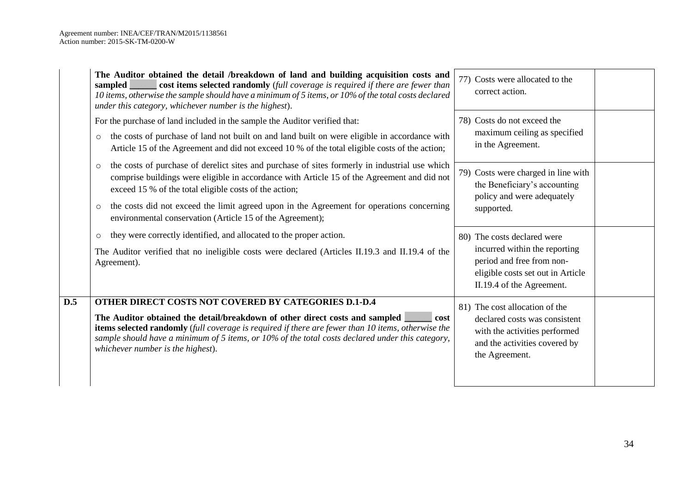|     | The Auditor obtained the detail /breakdown of land and building acquisition costs and<br>cost items selected randomly (full coverage is required if there are fewer than<br>sampled<br>10 items, otherwise the sample should have a minimum of 5 items, or 10% of the total costs declared<br>under this category, whichever number is the highest).                                                 | 77) Costs were allocated to the<br>correct action.                                                                                                          |
|-----|------------------------------------------------------------------------------------------------------------------------------------------------------------------------------------------------------------------------------------------------------------------------------------------------------------------------------------------------------------------------------------------------------|-------------------------------------------------------------------------------------------------------------------------------------------------------------|
|     | For the purchase of land included in the sample the Auditor verified that:<br>the costs of purchase of land not built on and land built on were eligible in accordance with<br>$\circ$<br>Article 15 of the Agreement and did not exceed 10 % of the total eligible costs of the action;                                                                                                             | 78) Costs do not exceed the<br>maximum ceiling as specified<br>in the Agreement.                                                                            |
|     | the costs of purchase of derelict sites and purchase of sites formerly in industrial use which<br>$\circ$<br>comprise buildings were eligible in accordance with Article 15 of the Agreement and did not<br>exceed 15 % of the total eligible costs of the action;                                                                                                                                   | 79) Costs were charged in line with<br>the Beneficiary's accounting<br>policy and were adequately                                                           |
|     | the costs did not exceed the limit agreed upon in the Agreement for operations concerning<br>$\circ$<br>environmental conservation (Article 15 of the Agreement);                                                                                                                                                                                                                                    | supported.                                                                                                                                                  |
|     | they were correctly identified, and allocated to the proper action.<br>$\circ$<br>The Auditor verified that no ineligible costs were declared (Articles II.19.3 and II.19.4 of the<br>Agreement).                                                                                                                                                                                                    | 80) The costs declared were<br>incurred within the reporting<br>period and free from non-<br>eligible costs set out in Article<br>II.19.4 of the Agreement. |
| D.5 | OTHER DIRECT COSTS NOT COVERED BY CATEGORIES D.1-D.4<br>The Auditor obtained the detail/breakdown of other direct costs and sampled<br><b>Cost</b><br>items selected randomly (full coverage is required if there are fewer than 10 items, otherwise the<br>sample should have a minimum of 5 items, or $10\%$ of the total costs declared under this category,<br>whichever number is the highest). | 81) The cost allocation of the<br>declared costs was consistent<br>with the activities performed<br>and the activities covered by<br>the Agreement.         |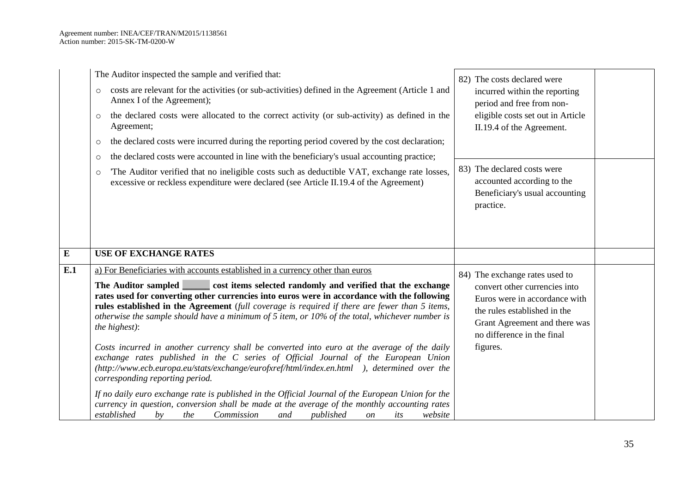|                         | The Auditor inspected the sample and verified that:                                                                                                                                                                                                                                                                                                                                                    | 82) The costs declared were                                                                                                                                                                     |  |
|-------------------------|--------------------------------------------------------------------------------------------------------------------------------------------------------------------------------------------------------------------------------------------------------------------------------------------------------------------------------------------------------------------------------------------------------|-------------------------------------------------------------------------------------------------------------------------------------------------------------------------------------------------|--|
|                         | costs are relevant for the activities (or sub-activities) defined in the Agreement (Article 1 and<br>$\circ$<br>Annex I of the Agreement);                                                                                                                                                                                                                                                             | incurred within the reporting<br>period and free from non-                                                                                                                                      |  |
|                         | the declared costs were allocated to the correct activity (or sub-activity) as defined in the<br>$\circ$<br>Agreement;                                                                                                                                                                                                                                                                                 | eligible costs set out in Article<br>II.19.4 of the Agreement.                                                                                                                                  |  |
|                         | the declared costs were incurred during the reporting period covered by the cost declaration;<br>O                                                                                                                                                                                                                                                                                                     |                                                                                                                                                                                                 |  |
|                         | the declared costs were accounted in line with the beneficiary's usual accounting practice;<br>$\circ$                                                                                                                                                                                                                                                                                                 |                                                                                                                                                                                                 |  |
|                         | 'The Auditor verified that no ineligible costs such as deductible VAT, exchange rate losses,<br>$\circ$<br>excessive or reckless expenditure were declared (see Article II.19.4 of the Agreement)                                                                                                                                                                                                      | 83) The declared costs were<br>accounted according to the<br>Beneficiary's usual accounting<br>practice.                                                                                        |  |
| $\overline{\mathbf{E}}$ | <b>USE OF EXCHANGE RATES</b>                                                                                                                                                                                                                                                                                                                                                                           |                                                                                                                                                                                                 |  |
| E.1                     | a) For Beneficiaries with accounts established in a currency other than euros                                                                                                                                                                                                                                                                                                                          | 84) The exchange rates used to<br>convert other currencies into<br>Euros were in accordance with<br>the rules established in the<br>Grant Agreement and there was<br>no difference in the final |  |
|                         | The Auditor sampled cost items selected randomly and verified that the exchange<br>rates used for converting other currencies into euros were in accordance with the following<br>rules established in the Agreement (full coverage is required if there are fewer than 5 items,<br>otherwise the sample should have a minimum of 5 item, or $10\%$ of the total, whichever number is<br>the highest): |                                                                                                                                                                                                 |  |
|                         | Costs incurred in another currency shall be converted into euro at the average of the daily<br>exchange rates published in the C series of Official Journal of the European Union<br>(http://www.ecb.europa.eu/stats/exchange/eurofxref/html/index.en.html ), determined over the<br>corresponding reporting period.                                                                                   | figures.                                                                                                                                                                                        |  |
|                         | If no daily euro exchange rate is published in the Official Journal of the European Union for the<br>currency in question, conversion shall be made at the average of the monthly accounting rates<br>established<br>Commission<br>published<br>website<br>$b\nu$<br>the<br>and<br>its<br><i>on</i>                                                                                                    |                                                                                                                                                                                                 |  |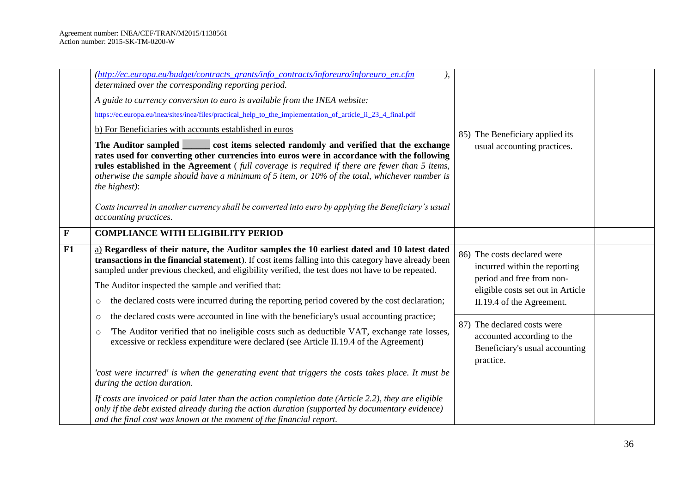|    | (http://ec.europa.eu/budget/contracts_grants/info_contracts/inforeuro/inforeuro_en.cfm<br>determined over the corresponding reporting period.                                                                                                                                                                                                                                                                                                                                                                 |                                                                                                                                |  |
|----|---------------------------------------------------------------------------------------------------------------------------------------------------------------------------------------------------------------------------------------------------------------------------------------------------------------------------------------------------------------------------------------------------------------------------------------------------------------------------------------------------------------|--------------------------------------------------------------------------------------------------------------------------------|--|
|    | A guide to currency conversion to euro is available from the INEA website:                                                                                                                                                                                                                                                                                                                                                                                                                                    |                                                                                                                                |  |
|    | https://ec.europa.eu/inea/sites/inea/files/practical help to the implementation of article ii 23 4 final.pdf                                                                                                                                                                                                                                                                                                                                                                                                  |                                                                                                                                |  |
|    | b) For Beneficiaries with accounts established in euros                                                                                                                                                                                                                                                                                                                                                                                                                                                       | 85) The Beneficiary applied its                                                                                                |  |
|    | The Auditor sampled cost items selected randomly and verified that the exchange<br>rates used for converting other currencies into euros were in accordance with the following<br>rules established in the Agreement (full coverage is required if there are fewer than 5 items,<br>otherwise the sample should have a minimum of 5 item, or $10\%$ of the total, whichever number is<br>the highest):<br>Costs incurred in another currency shall be converted into euro by applying the Beneficiary's usual | usual accounting practices.                                                                                                    |  |
|    | accounting practices.                                                                                                                                                                                                                                                                                                                                                                                                                                                                                         |                                                                                                                                |  |
| F  | <b>COMPLIANCE WITH ELIGIBILITY PERIOD</b>                                                                                                                                                                                                                                                                                                                                                                                                                                                                     |                                                                                                                                |  |
| F1 | a) Regardless of their nature, the Auditor samples the 10 earliest dated and 10 latest dated<br>transactions in the financial statement). If cost items falling into this category have already been<br>sampled under previous checked, and eligibility verified, the test does not have to be repeated.                                                                                                                                                                                                      | 86) The costs declared were<br>incurred within the reporting<br>period and free from non-<br>eligible costs set out in Article |  |
|    | The Auditor inspected the sample and verified that:                                                                                                                                                                                                                                                                                                                                                                                                                                                           |                                                                                                                                |  |
|    | the declared costs were incurred during the reporting period covered by the cost declaration;<br>$\circ$                                                                                                                                                                                                                                                                                                                                                                                                      | II.19.4 of the Agreement.                                                                                                      |  |
|    | the declared costs were accounted in line with the beneficiary's usual accounting practice;<br>$\circ$                                                                                                                                                                                                                                                                                                                                                                                                        |                                                                                                                                |  |
|    | The Auditor verified that no ineligible costs such as deductible VAT, exchange rate losses,<br>$\circ$<br>excessive or reckless expenditure were declared (see Article II.19.4 of the Agreement)                                                                                                                                                                                                                                                                                                              | 87) The declared costs were<br>accounted according to the<br>Beneficiary's usual accounting<br>practice.                       |  |
|    | 'cost were incurred' is when the generating event that triggers the costs takes place. It must be<br>during the action duration.                                                                                                                                                                                                                                                                                                                                                                              |                                                                                                                                |  |
|    | If costs are invoiced or paid later than the action completion date (Article 2.2), they are eligible<br>only if the debt existed already during the action duration (supported by documentary evidence)<br>and the final cost was known at the moment of the financial report.                                                                                                                                                                                                                                |                                                                                                                                |  |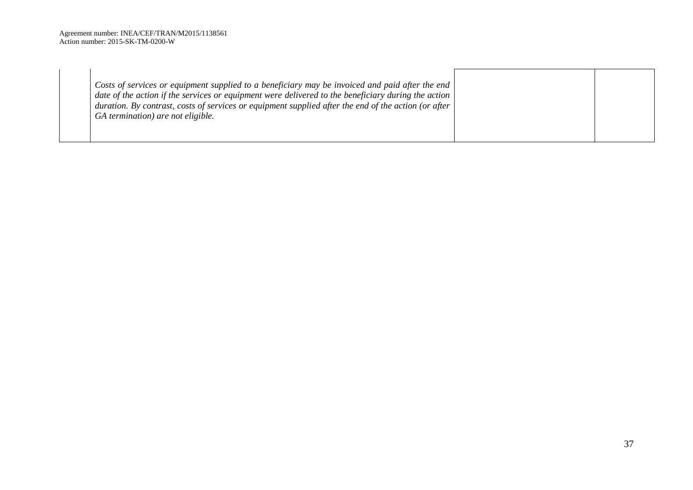| date of the action if the services or equipment were delivered to the beneficiary during the action<br>duration. By contrast, costs of services or equipment supplied after the end of the action (or after $ $<br>GA termination) are not eligible. |
|------------------------------------------------------------------------------------------------------------------------------------------------------------------------------------------------------------------------------------------------------|
|------------------------------------------------------------------------------------------------------------------------------------------------------------------------------------------------------------------------------------------------------|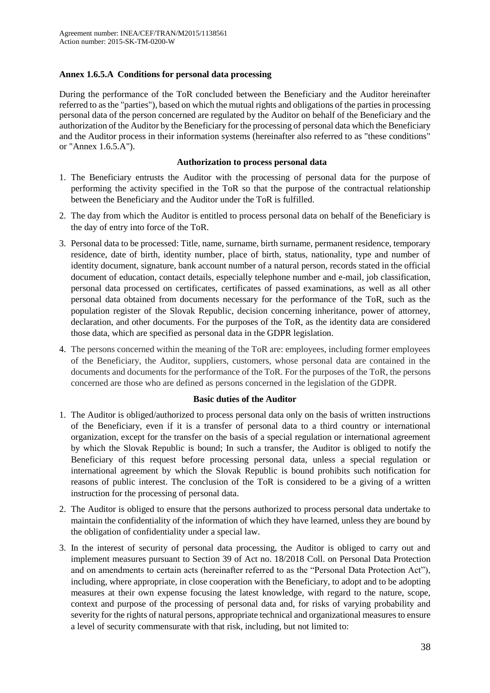## **Annex 1.6.5.A Conditions for personal data processing**

During the performance of the ToR concluded between the Beneficiary and the Auditor hereinafter referred to as the "parties"), based on which the mutual rights and obligations of the parties in processing personal data of the person concerned are regulated by the Auditor on behalf of the Beneficiary and the authorization of the Auditor by the Beneficiary for the processing of personal data which the Beneficiary and the Auditor process in their information systems (hereinafter also referred to as "these conditions" or "Annex 1.6.5.A").

### **Authorization to process personal data**

- 1. The Beneficiary entrusts the Auditor with the processing of personal data for the purpose of performing the activity specified in the ToR so that the purpose of the contractual relationship between the Beneficiary and the Auditor under the ToR is fulfilled.
- 2. The day from which the Auditor is entitled to process personal data on behalf of the Beneficiary is the day of entry into force of the ToR.
- 3. Personal data to be processed: Title, name, surname, birth surname, permanent residence, temporary residence, date of birth, identity number, place of birth, status, nationality, type and number of identity document, signature, bank account number of a natural person, records stated in the official document of education, contact details, especially telephone number and e-mail, job classification, personal data processed on certificates, certificates of passed examinations, as well as all other personal data obtained from documents necessary for the performance of the ToR, such as the population register of the Slovak Republic, decision concerning inheritance, power of attorney, declaration, and other documents. For the purposes of the ToR, as the identity data are considered those data, which are specified as personal data in the GDPR legislation.
- 4. The persons concerned within the meaning of the ToR are: employees, including former employees of the Beneficiary, the Auditor, suppliers, customers, whose personal data are contained in the documents and documents for the performance of the ToR. For the purposes of the ToR, the persons concerned are those who are defined as persons concerned in the legislation of the GDPR.

### **Basic duties of the Auditor**

- 1. The Auditor is obliged/authorized to process personal data only on the basis of written instructions of the Beneficiary, even if it is a transfer of personal data to a third country or international organization, except for the transfer on the basis of a special regulation or international agreement by which the Slovak Republic is bound; In such a transfer, the Auditor is obliged to notify the Beneficiary of this request before processing personal data, unless a special regulation or international agreement by which the Slovak Republic is bound prohibits such notification for reasons of public interest. The conclusion of the ToR is considered to be a giving of a written instruction for the processing of personal data.
- 2. The Auditor is obliged to ensure that the persons authorized to process personal data undertake to maintain the confidentiality of the information of which they have learned, unless they are bound by the obligation of confidentiality under a special law.
- 3. In the interest of security of personal data processing, the Auditor is obliged to carry out and implement measures pursuant to Section 39 of Act no. 18/2018 Coll. on Personal Data Protection and on amendments to certain acts (hereinafter referred to as the "Personal Data Protection Act"), including, where appropriate, in close cooperation with the Beneficiary, to adopt and to be adopting measures at their own expense focusing the latest knowledge, with regard to the nature, scope, context and purpose of the processing of personal data and, for risks of varying probability and severity for the rights of natural persons, appropriate technical and organizational measures to ensure a level of security commensurate with that risk, including, but not limited to: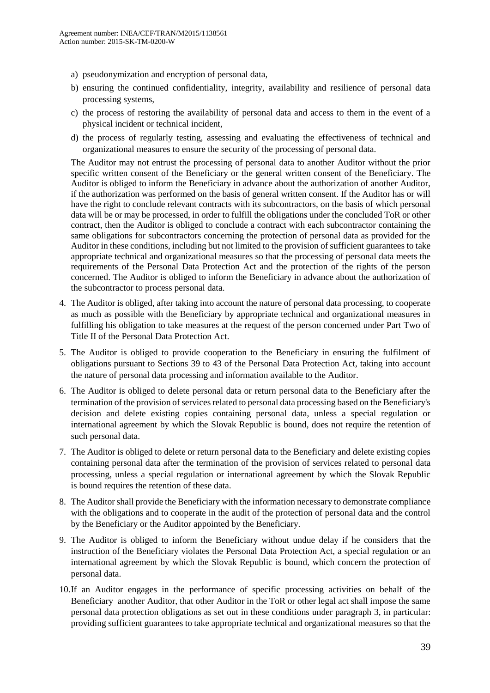- a) pseudonymization and encryption of personal data,
- b) ensuring the continued confidentiality, integrity, availability and resilience of personal data processing systems,
- c) the process of restoring the availability of personal data and access to them in the event of a physical incident or technical incident,
- d) the process of regularly testing, assessing and evaluating the effectiveness of technical and organizational measures to ensure the security of the processing of personal data.

The Auditor may not entrust the processing of personal data to another Auditor without the prior specific written consent of the Beneficiary or the general written consent of the Beneficiary. The Auditor is obliged to inform the Beneficiary in advance about the authorization of another Auditor, if the authorization was performed on the basis of general written consent. If the Auditor has or will have the right to conclude relevant contracts with its subcontractors, on the basis of which personal data will be or may be processed, in order to fulfill the obligations under the concluded ToR or other contract, then the Auditor is obliged to conclude a contract with each subcontractor containing the same obligations for subcontractors concerning the protection of personal data as provided for the Auditor in these conditions, including but not limited to the provision of sufficient guarantees to take appropriate technical and organizational measures so that the processing of personal data meets the requirements of the Personal Data Protection Act and the protection of the rights of the person concerned. The Auditor is obliged to inform the Beneficiary in advance about the authorization of the subcontractor to process personal data.

- 4. The Auditor is obliged, after taking into account the nature of personal data processing, to cooperate as much as possible with the Beneficiary by appropriate technical and organizational measures in fulfilling his obligation to take measures at the request of the person concerned under Part Two of Title II of the Personal Data Protection Act.
- 5. The Auditor is obliged to provide cooperation to the Beneficiary in ensuring the fulfilment of obligations pursuant to Sections 39 to 43 of the Personal Data Protection Act, taking into account the nature of personal data processing and information available to the Auditor.
- 6. The Auditor is obliged to delete personal data or return personal data to the Beneficiary after the termination of the provision of services related to personal data processing based on the Beneficiary's decision and delete existing copies containing personal data, unless a special regulation or international agreement by which the Slovak Republic is bound, does not require the retention of such personal data.
- 7. The Auditor is obliged to delete or return personal data to the Beneficiary and delete existing copies containing personal data after the termination of the provision of services related to personal data processing, unless a special regulation or international agreement by which the Slovak Republic is bound requires the retention of these data.
- 8. The Auditor shall provide the Beneficiary with the information necessary to demonstrate compliance with the obligations and to cooperate in the audit of the protection of personal data and the control by the Beneficiary or the Auditor appointed by the Beneficiary.
- 9. The Auditor is obliged to inform the Beneficiary without undue delay if he considers that the instruction of the Beneficiary violates the Personal Data Protection Act, a special regulation or an international agreement by which the Slovak Republic is bound, which concern the protection of personal data.
- 10.If an Auditor engages in the performance of specific processing activities on behalf of the Beneficiary another Auditor, that other Auditor in the ToR or other legal act shall impose the same personal data protection obligations as set out in these conditions under paragraph 3, in particular: providing sufficient guarantees to take appropriate technical and organizational measures so that the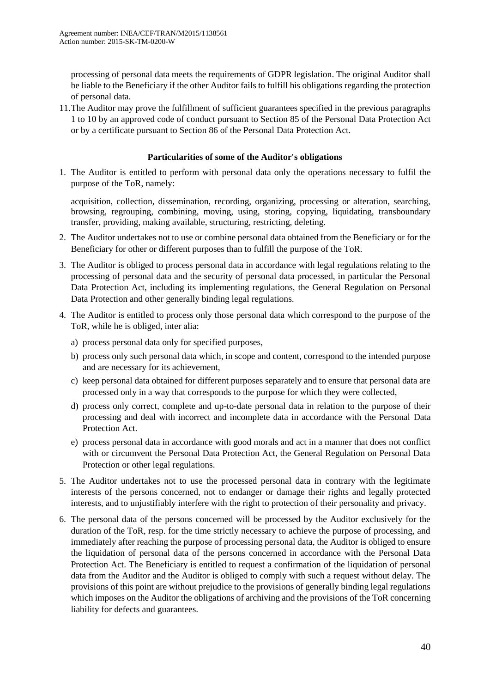processing of personal data meets the requirements of GDPR legislation. The original Auditor shall be liable to the Beneficiary if the other Auditor fails to fulfill his obligations regarding the protection of personal data.

11.The Auditor may prove the fulfillment of sufficient guarantees specified in the previous paragraphs 1 to 10 by an approved code of conduct pursuant to Section 85 of the Personal Data Protection Act or by a certificate pursuant to Section 86 of the Personal Data Protection Act.

### **Particularities of some of the Auditor's obligations**

1. The Auditor is entitled to perform with personal data only the operations necessary to fulfil the purpose of the ToR, namely:

acquisition, collection, dissemination, recording, organizing, processing or alteration, searching, browsing, regrouping, combining, moving, using, storing, copying, liquidating, transboundary transfer, providing, making available, structuring, restricting, deleting.

- 2. The Auditor undertakes not to use or combine personal data obtained from the Beneficiary or for the Beneficiary for other or different purposes than to fulfill the purpose of the ToR.
- 3. The Auditor is obliged to process personal data in accordance with legal regulations relating to the processing of personal data and the security of personal data processed, in particular the Personal Data Protection Act, including its implementing regulations, the General Regulation on Personal Data Protection and other generally binding legal regulations.
- 4. The Auditor is entitled to process only those personal data which correspond to the purpose of the ToR, while he is obliged, inter alia:
	- a) process personal data only for specified purposes,
	- b) process only such personal data which, in scope and content, correspond to the intended purpose and are necessary for its achievement,
	- c) keep personal data obtained for different purposes separately and to ensure that personal data are processed only in a way that corresponds to the purpose for which they were collected,
	- d) process only correct, complete and up-to-date personal data in relation to the purpose of their processing and deal with incorrect and incomplete data in accordance with the Personal Data Protection Act.
	- e) process personal data in accordance with good morals and act in a manner that does not conflict with or circumvent the Personal Data Protection Act, the General Regulation on Personal Data Protection or other legal regulations.
- 5. The Auditor undertakes not to use the processed personal data in contrary with the legitimate interests of the persons concerned, not to endanger or damage their rights and legally protected interests, and to unjustifiably interfere with the right to protection of their personality and privacy.
- 6. The personal data of the persons concerned will be processed by the Auditor exclusively for the duration of the ToR, resp. for the time strictly necessary to achieve the purpose of processing, and immediately after reaching the purpose of processing personal data, the Auditor is obliged to ensure the liquidation of personal data of the persons concerned in accordance with the Personal Data Protection Act. The Beneficiary is entitled to request a confirmation of the liquidation of personal data from the Auditor and the Auditor is obliged to comply with such a request without delay. The provisions of this point are without prejudice to the provisions of generally binding legal regulations which imposes on the Auditor the obligations of archiving and the provisions of the ToR concerning liability for defects and guarantees.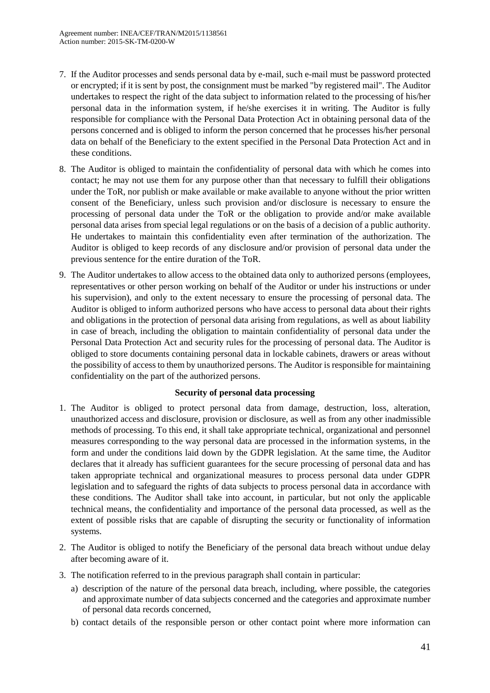- 7. If the Auditor processes and sends personal data by e-mail, such e-mail must be password protected or encrypted; if it is sent by post, the consignment must be marked "by registered mail". The Auditor undertakes to respect the right of the data subject to information related to the processing of his/her personal data in the information system, if he/she exercises it in writing. The Auditor is fully responsible for compliance with the Personal Data Protection Act in obtaining personal data of the persons concerned and is obliged to inform the person concerned that he processes his/her personal data on behalf of the Beneficiary to the extent specified in the Personal Data Protection Act and in these conditions.
- 8. The Auditor is obliged to maintain the confidentiality of personal data with which he comes into contact; he may not use them for any purpose other than that necessary to fulfill their obligations under the ToR, nor publish or make available or make available to anyone without the prior written consent of the Beneficiary, unless such provision and/or disclosure is necessary to ensure the processing of personal data under the ToR or the obligation to provide and/or make available personal data arises from special legal regulations or on the basis of a decision of a public authority. He undertakes to maintain this confidentiality even after termination of the authorization. The Auditor is obliged to keep records of any disclosure and/or provision of personal data under the previous sentence for the entire duration of the ToR.
- 9. The Auditor undertakes to allow access to the obtained data only to authorized persons (employees, representatives or other person working on behalf of the Auditor or under his instructions or under his supervision), and only to the extent necessary to ensure the processing of personal data. The Auditor is obliged to inform authorized persons who have access to personal data about their rights and obligations in the protection of personal data arising from regulations, as well as about liability in case of breach, including the obligation to maintain confidentiality of personal data under the Personal Data Protection Act and security rules for the processing of personal data. The Auditor is obliged to store documents containing personal data in lockable cabinets, drawers or areas without the possibility of access to them by unauthorized persons. The Auditor is responsible for maintaining confidentiality on the part of the authorized persons.

### **Security of personal data processing**

- 1. The Auditor is obliged to protect personal data from damage, destruction, loss, alteration, unauthorized access and disclosure, provision or disclosure, as well as from any other inadmissible methods of processing. To this end, it shall take appropriate technical, organizational and personnel measures corresponding to the way personal data are processed in the information systems, in the form and under the conditions laid down by the GDPR legislation. At the same time, the Auditor declares that it already has sufficient guarantees for the secure processing of personal data and has taken appropriate technical and organizational measures to process personal data under GDPR legislation and to safeguard the rights of data subjects to process personal data in accordance with these conditions. The Auditor shall take into account, in particular, but not only the applicable technical means, the confidentiality and importance of the personal data processed, as well as the extent of possible risks that are capable of disrupting the security or functionality of information systems.
- 2. The Auditor is obliged to notify the Beneficiary of the personal data breach without undue delay after becoming aware of it.
- 3. The notification referred to in the previous paragraph shall contain in particular:
	- a) description of the nature of the personal data breach, including, where possible, the categories and approximate number of data subjects concerned and the categories and approximate number of personal data records concerned,
	- b) contact details of the responsible person or other contact point where more information can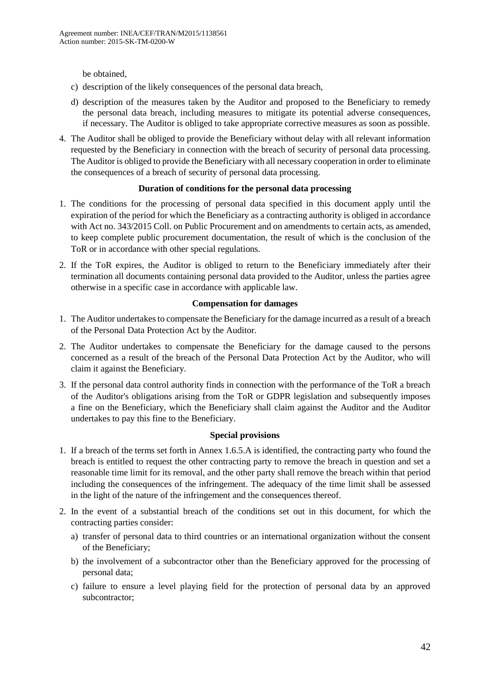be obtained,

- c) description of the likely consequences of the personal data breach,
- d) description of the measures taken by the Auditor and proposed to the Beneficiary to remedy the personal data breach, including measures to mitigate its potential adverse consequences, if necessary. The Auditor is obliged to take appropriate corrective measures as soon as possible.
- 4. The Auditor shall be obliged to provide the Beneficiary without delay with all relevant information requested by the Beneficiary in connection with the breach of security of personal data processing. The Auditor is obliged to provide the Beneficiary with all necessary cooperation in order to eliminate the consequences of a breach of security of personal data processing.

## **Duration of conditions for the personal data processing**

- 1. The conditions for the processing of personal data specified in this document apply until the expiration of the period for which the Beneficiary as a contracting authority is obliged in accordance with Act no. 343/2015 Coll. on Public Procurement and on amendments to certain acts, as amended, to keep complete public procurement documentation, the result of which is the conclusion of the ToR or in accordance with other special regulations.
- 2. If the ToR expires, the Auditor is obliged to return to the Beneficiary immediately after their termination all documents containing personal data provided to the Auditor, unless the parties agree otherwise in a specific case in accordance with applicable law.

### **Compensation for damages**

- 1. The Auditor undertakes to compensate the Beneficiary for the damage incurred as a result of a breach of the Personal Data Protection Act by the Auditor.
- 2. The Auditor undertakes to compensate the Beneficiary for the damage caused to the persons concerned as a result of the breach of the Personal Data Protection Act by the Auditor, who will claim it against the Beneficiary.
- 3. If the personal data control authority finds in connection with the performance of the ToR a breach of the Auditor's obligations arising from the ToR or GDPR legislation and subsequently imposes a fine on the Beneficiary, which the Beneficiary shall claim against the Auditor and the Auditor undertakes to pay this fine to the Beneficiary.

### **Special provisions**

- 1. If a breach of the terms set forth in Annex 1.6.5.A is identified, the contracting party who found the breach is entitled to request the other contracting party to remove the breach in question and set a reasonable time limit for its removal, and the other party shall remove the breach within that period including the consequences of the infringement. The adequacy of the time limit shall be assessed in the light of the nature of the infringement and the consequences thereof.
- 2. In the event of a substantial breach of the conditions set out in this document, for which the contracting parties consider:
	- a) transfer of personal data to third countries or an international organization without the consent of the Beneficiary;
	- b) the involvement of a subcontractor other than the Beneficiary approved for the processing of personal data;
	- c) failure to ensure a level playing field for the protection of personal data by an approved subcontractor;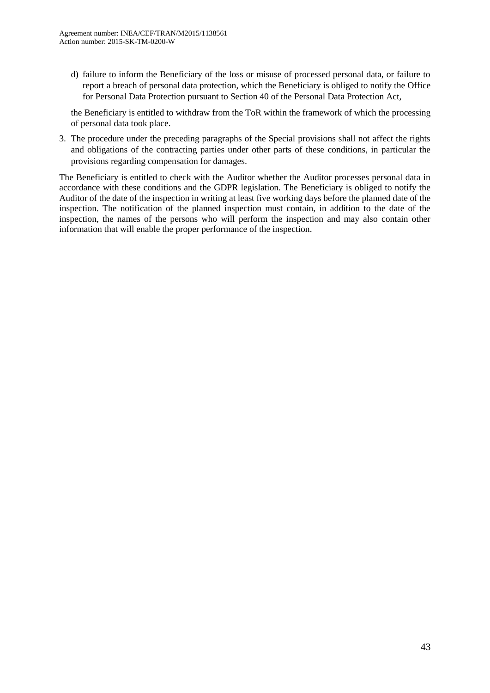d) failure to inform the Beneficiary of the loss or misuse of processed personal data, or failure to report a breach of personal data protection, which the Beneficiary is obliged to notify the Office for Personal Data Protection pursuant to Section 40 of the Personal Data Protection Act,

the Beneficiary is entitled to withdraw from the ToR within the framework of which the processing of personal data took place.

3. The procedure under the preceding paragraphs of the Special provisions shall not affect the rights and obligations of the contracting parties under other parts of these conditions, in particular the provisions regarding compensation for damages.

The Beneficiary is entitled to check with the Auditor whether the Auditor processes personal data in accordance with these conditions and the GDPR legislation. The Beneficiary is obliged to notify the Auditor of the date of the inspection in writing at least five working days before the planned date of the inspection. The notification of the planned inspection must contain, in addition to the date of the inspection, the names of the persons who will perform the inspection and may also contain other information that will enable the proper performance of the inspection.